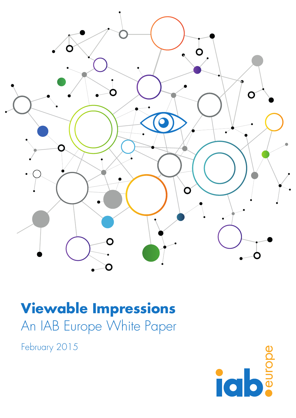

# **Viewable Impressions** An IAB Europe White Paper

February 2015

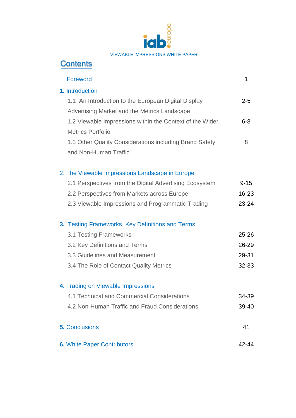

# **Contents** Foreword 2008 and 2008 and 2008 and 2008 and 2008 and 2008 and 2008 and 2008 and 2008 and 2008 and 2008 and 200 **1.** Introduction 1.1 An Introduction to the European Digital Display Advertising Market and the Metrics Landscape 1.2 Viewable Impressions within the Context of the Wider Metrics Portfolio 1.3 Other Quality Considerations including Brand Safety and Non-Human Traffic

2-5

6-8

8

#### 2. The Viewable Impressions Landscape in Europe

| 2.1 Perspectives from the Digital Advertising Ecosystem | $9 - 15$  |
|---------------------------------------------------------|-----------|
| 2.2 Perspectives from Markets across Europe             | $16 - 23$ |
| 2.3 Viewable Impressions and Programmatic Trading       | $23 - 24$ |

#### **3.** Testing Frameworks, Key Definitions and Terms

| 3.1 Testing Frameworks                  | 25-26     |
|-----------------------------------------|-----------|
| 3.2 Key Definitions and Terms           | $26 - 29$ |
| 3.3 Guidelines and Measurement          | 29-31     |
| 3.4 The Role of Contact Quality Metrics | $32-33$   |
|                                         |           |

#### **4.** Trading on Viewable Impressions

|  |  | 4.1 Technical and Commercial Considerations | 34-39 |
|--|--|---------------------------------------------|-------|
|  |  |                                             |       |

- 4.2 Non-Human Traffic and Fraud Considerations 39-40
- **5.** Conclusions 41
- **6.** White Paper Contributors **42-44**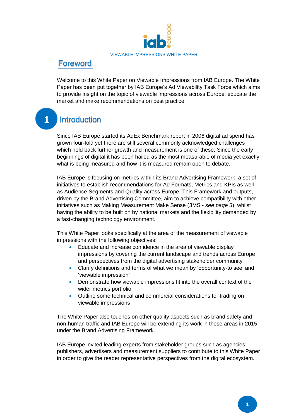

### **Foreword**

Welcome to this White Paper on Viewable Impressions from IAB Europe. The White Paper has been put together by IAB Europe's Ad Viewability Task Force which aims to provide insight on the topic of viewable impressions across Europe; educate the market and make recommendations on best practice.

#### **1**Introduction

Since IAB Europe started its AdEx Benchmark report in 2006 digital ad spend has grown four-fold yet there are still several commonly acknowledged challenges which hold back further growth and measurement is one of these. Since the early beginnings of digital it has been hailed as the most measurable of media yet exactly what is being measured and how it is measured remain open to debate.

IAB Europe is focusing on metrics within its Brand Advertising Framework, a set of initiatives to establish recommendations for Ad Formats, Metrics and KPIs as well as Audience Segments and Quality across Europe. This Framework and outputs, driven by the Brand Advertising Committee, aim to achieve compatibility with other initiatives such as Making Measurement Make Sense (3MS - *see page 3*), whilst having the ability to be built on by national markets and the flexibility demanded by a fast-changing technology environment.

This White Paper looks specifically at the area of the measurement of viewable impressions with the following objectives:

- Educate and increase confidence in the area of viewable display impressions by covering the current landscape and trends across Europe and perspectives from the digital advertising stakeholder community
- Clarify definitions and terms of what we mean by 'opportunity-to see' and 'viewable impression'
- Demonstrate how viewable impressions fit into the overall context of the wider metrics portfolio
- Outline some technical and commercial considerations for trading on viewable impressions

The White Paper also touches on other quality aspects such as brand safety and non-human traffic and IAB Europe will be extending its work in these areas in 2015 under the Brand Advertising Framework.

IAB Europe invited leading experts from stakeholder groups such as agencies, publishers, advertisers and measurement suppliers to contribute to this White Paper in order to give the reader representative perspectives from the digital ecosystem.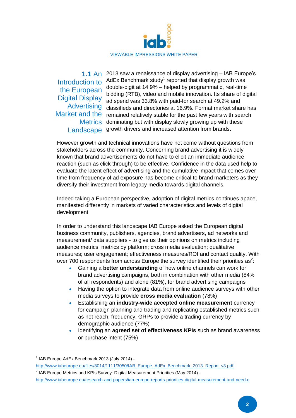

Introduction to the European Digital Display Advertising

2013 saw a renaissance of display advertising – IAB Europe's **1.1** An AdEx Benchmark study<sup>1</sup> reported that display growth was double-digit at 14.9% – helped by programmatic, real-time bidding (RTB), video and mobile innovation. Its share of digital ad spend was 33.8% with paid-for search at 49.2% and classifieds and directories at 16.9%. Format market share has Market and the remained relatively stable for the past few years with search Metrics dominating but with display slowly growing up with these Landscape growth drivers and increased attention from brands.

However growth and technical innovations have not come without questions from stakeholders across the community. Concerning brand advertising it is widely known that brand advertisements do not have to elicit an immediate audience reaction (such as click through) to be effective. Confidence in the data used help to evaluate the latent effect of advertising and the cumulative impact that comes over time from frequency of ad exposure has become critical to brand marketers as they diversify their investment from legacy media towards digital channels.

Indeed taking a European perspective, adoption of digital metrics continues apace, manifested differently in markets of varied characteristics and levels of digital development.

In order to understand this landscape IAB Europe asked the European digital business community, publishers, agencies, brand advertisers, ad networks and measurement/ data suppliers - to give us their opinions on metrics including audience metrics; metrics by platform; cross media evaluation; qualitative measures; user engagement; effectiveness measures/ROI and contact quality. With over 700 respondents from across Europe the survey identified their priorities as<sup>2</sup>:

- Gaining a **better understanding** of how online channels can work for brand advertising campaigns, both in combination with other media (84% of all respondents) and alone (81%), for brand advertising campaigns
- Having the option to integrate data from online audience surveys with other media surveys to provide **cross media evaluation** (78%)
- Establishing an **industry-wide accepted online measurement** currency for campaign planning and trading and replicating established metrics such as net reach, frequency, GRPs to provide a trading currency by demographic audience (77%)
- Identifying an **agreed set of effectiveness KPIs** such as brand awareness or purchase intent (75%)

**.** 

<sup>2</sup> IAB Europe Metrics and KPIs Survey: Digital Measurement Priorities (May 2014) <http://www.iabeurope.eu/research-and-papers/iab-europe-reports-priorities-digital-measurement-and-need-c>

<sup>&</sup>lt;sup>1</sup> IAB Europe AdEx Benchmark 2013 (July 2014) -

[http://www.iabeurope.eu/files/8014/1111/3050/IAB\\_Europe\\_AdEx\\_Benchmark\\_2013\\_Report\\_v3.pdf](http://www.iabeurope.eu/files/8014/1111/3050/IAB_Europe_AdEx_Benchmark_2013_Report_v3.pdf)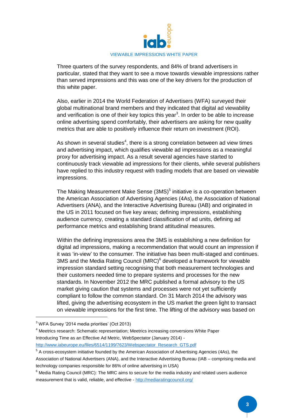

Three quarters of the survey respondents, and 84% of brand advertisers in particular, stated that they want to see a move towards viewable impressions rather than served impressions and this was one of the key drivers for the production of this white paper.

Also, earlier in 2014 the World Federation of Advertisers (WFA) surveyed their global multinational brand members and they indicated that digital ad viewability and verification is one of their key topics this year<sup>3</sup>. In order to be able to increase online advertising spend comfortably, their advertisers are asking for new quality metrics that are able to positively influence their return on investment (ROI).

As shown in several studies<sup>4</sup>, there is a strong correlation between ad view times and advertising impact, which qualifies viewable ad impressions as a meaningful proxy for advertising impact. As a result several agencies have started to continuously track viewable ad impressions for their clients, while several publishers have replied to this industry request with trading models that are based on viewable impressions.

The Making Measurement Make Sense (3MS)<sup>5</sup> initiative is a co-operation between the American Association of Advertising Agencies (4As), the Association of National Advertisers (ANA), and the Interactive Advertising Bureau (IAB) and originated in the US in 2011 focused on five key areas; defining impressions, establishing audience currency, creating a standard classification of ad units, defining ad performance metrics and establishing brand attitudinal measures.

Within the defining impressions area the 3MS is establishing a new definition for digital ad impressions, making a recommendation that would count an impression if it was 'in-view' to the consumer. The initiative has been multi-staged and continues. 3MS and the Media Rating Council (MRC) $<sup>6</sup>$  developed a framework for viewable</sup> impression standard setting recognising that both measurement technologies and their customers needed time to prepare systems and processes for the new standards. In November 2012 the MRC published a formal advisory to the US market giving caution that systems and processes were not yet sufficiently compliant to follow the common standard. On 31 March 2014 the advisory was lifted, giving the advertising ecosystem in the US market the green light to transact on viewable impressions for the first time. The lifting of the advisory was based on

1

<sup>3</sup> WFA Survey '2014 media priorities' (Oct 2013)

<sup>4</sup> Meetrics research: Schematic representation; Meetrics increasing conversions White Paper Introducing Time as an Effective Ad Metric, WebSpectator (January 2014) [http://www.iabeurope.eu/files/6514/1199/7623/Webspectator\\_Research\\_GTS.pdf](http://www.iabeurope.eu/files/6514/1199/7623/Webspectator_Research_GTS.pdf)

<sup>&</sup>lt;sup>5</sup> A cross-ecosystem initiative founded by the American Association of Advertising Agencies (4As), the Association of National Advertisers (ANA), and the Interactive Advertising Bureau (IAB – comprising media and technology companies responsible for 86% of online advertising in USA)

 $6$  Media Rating Council (MRC): The MRC aims to secure for the media industry and related users audience measurement that is valid, reliable, and effective - <http://mediaratingcouncil.org/>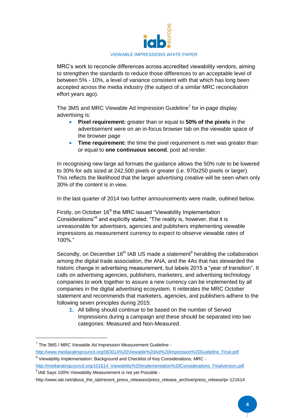

MRC's work to reconcile differences across accredited viewability vendors, aiming to strengthen the standards to reduce those differences to an acceptable level of between 5% - 10%, a level of variance consistent with that which has long been accepted across the media industry (the subject of a similar MRC reconciliation effort years ago).

The 3MS and MRC Viewable Ad Impression Guideline<sup>7</sup> for in-page display advertising is:

- **Pixel requirement:** greater than or equal to **50% of the pixels** in the advertisement were on an in-focus browser tab on the viewable space of the browser page
- **Time requirement:** the time the pixel requirement is met was greater than or equal to **one continuous second**, post ad render.

In recognising new large ad formats the guidance allows the 50% rule to be lowered to 30% for ads sized at 242,500 pixels or greater (i.e. 970x250 pixels or larger). This reflects the likelihood that the larger advertising creative will be seen when only 30% of the content is in view.

In the last quarter of 2014 two further announcements were made, outlined below.

Firstly, on October 16<sup>th</sup> the MRC issued "Viewability Implementation Considerations<sup>38</sup> and explicitly stated, "The reality is, however, that it is unreasonable for advertisers, agencies and publishers implementing viewable impressions as measurement currency to expect to observe viewable rates of 100%."

Secondly, on December 16<sup>th</sup> IAB US made a statement<sup>9</sup> heralding the collaboration among the digital trade association, the ANA, and the 4As that has stewarded the historic change in advertising measurement, but labels 2015 a "year of transition". It calls on advertising agencies, publishers, marketers, and advertising technology companies to work together to assure a new currency can be implemented by all companies in the digital advertising ecosystem. It reiterates the MRC October statement and recommends that marketers, agencies, and publishers adhere to the following seven principles during 2015:

**1.** All billing should continue to be based on the number of Served Impressions during a campaign and these should be separated into two categories: Measured and Non-Measured.

1

 $7$  The 3MS / MRC Viewable Ad Impression Measurement Guideline [http://www.mediaratingcouncil.org/063014%20Viewable%20Ad%20Impression%20Guideline\\_Final.pdf](http://www.mediaratingcouncil.org/063014%20Viewable%20Ad%20Impression%20Guideline_Final.pdf)

<sup>&</sup>lt;sup>8</sup> Viewability Implementation: Background and Checklist of Key Considerations, MRC -

[http://mediaratingcouncil.org/101614\\_Viewability%20Implementation%20Considerations\\_Finalversion.pdf](http://mediaratingcouncil.org/101614_Viewability%20Implementation%20Considerations_Finalversion.pdf) <sup>9</sup> IAB Says 100% Viewability Measurement is not yet Possible -

[http://www.iab.net/about\\_the\\_iab/recent\\_press\\_releases/press\\_release\\_archive/press\\_release/pr-121614](http://www.iab.net/about_the_iab/recent_press_releases/press_release_archive/press_release/pr-121614)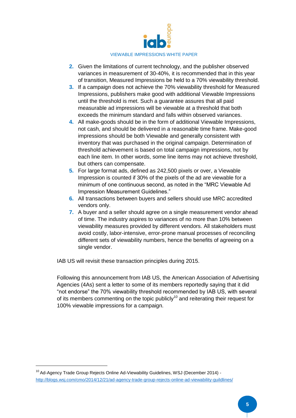

- **2.** Given the limitations of current technology, and the publisher observed variances in measurement of 30-40%, it is recommended that in this year of transition, Measured Impressions be held to a 70% viewability threshold.
- **3.** If a campaign does not achieve the 70% viewability threshold for Measured Impressions, publishers make good with additional Viewable Impressions until the threshold is met. Such a guarantee assures that all paid measurable ad impressions will be viewable at a threshold that both exceeds the minimum standard and falls within observed variances.
- **4.** All make-goods should be in the form of additional Viewable Impressions, not cash, and should be delivered in a reasonable time frame. Make-good impressions should be both Viewable and generally consistent with inventory that was purchased in the original campaign. Determination of threshold achievement is based on total campaign impressions, not by each line item. In other words, some line items may not achieve threshold, but others can compensate.
- **5.** For large format ads, defined as 242,500 pixels or over, a Viewable Impression is counted if 30% of the pixels of the ad are viewable for a minimum of one continuous second, as noted in the "MRC Viewable Ad Impression Measurement Guidelines."
- **6.** All transactions between buyers and sellers should use MRC accredited vendors only.
- **7.** A buyer and a seller should agree on a single measurement vendor ahead of time. The industry aspires to variances of no more than 10% between viewability measures provided by different vendors. All stakeholders must avoid costly, labor-intensive, error-prone manual processes of reconciling different sets of viewability numbers, hence the benefits of agreeing on a single vendor.

IAB US will revisit these transaction principles during 2015.

Following this announcement from IAB US, the American Association of Advertising Agencies (4As) sent a letter to some of its members reportedly saying that it did "not endorse" the 70% viewability threshold recommended by IAB US, with several of its members commenting on the topic publicly<sup>10</sup> and reiterating their request for 100% viewable impressions for a campaign.

<sup>&</sup>lt;sup>10</sup> Ad-Agency Trade Group Rejects Online Ad-Viewability Guidelines, WSJ (December 2014) <http://blogs.wsj.com/cmo/2014/12/21/ad-agency-trade-group-rejects-online-ad-viewability-guildlines/>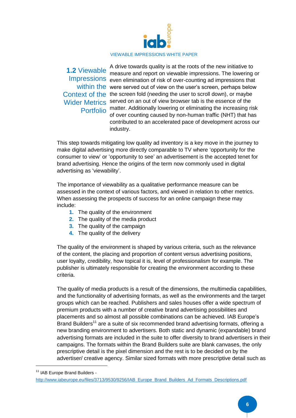

A drive towards quality is at the roots of the new initiative to measure and report on viewable impressions. The lowering or Impressions even elimination of risk of over-counting ad impressions that within the were served out of view on the user's screen, perhaps below Context of the the screen fold (needing the user to scroll down), or maybe Wider Metrics served on an out of view browser tab is the essence of the Portfolio matter. Additionally lowering or eliminating the increasing risk of over counting caused by non-human traffic (NHT) that has contributed to an accelerated pace of development across our industry. **1.2** Viewable

This step towards mitigating low quality ad inventory is a key move in the journey to make digital advertising more directly comparable to TV where 'opportunity for the consumer to view' or 'opportunity to see' an advertisement is the accepted tenet for brand advertising. Hence the origins of the term now commonly used in digital advertising as 'viewability'.

The importance of viewability as a qualitative performance measure can be assessed in the context of various factors, and viewed in relation to other metrics. When assessing the prospects of success for an online campaign these may include:

- **1.** The quality of the environment
- **2.** The quality of the media product
- **3.** The quality of the campaign
- **4.** The quality of the delivery

The quality of the environment is shaped by various criteria, such as the relevance of the content, the placing and proportion of content versus advertising positions, user loyalty, credibility, how topical it is, level of professionalism for example. The publisher is ultimately responsible for creating the environment according to these criteria.

The quality of media products is a result of the dimensions, the multimedia capabilities, and the functionality of advertising formats, as well as the environments and the target groups which can be reached. Publishers and sales houses offer a wide spectrum of premium products with a number of creative brand advertising possibilities and placements and so almost all possible combinations can be achieved. IAB Europe's Brand Builders<sup>11</sup> are a suite of six recommended brand advertising formats, offering a new branding environment to advertisers. Both static and dynamic (expandable) brand advertising formats are included in the suite to offer diversity to brand advertisers in their campaigns. The formats within the Brand Builders suite are blank canvases, the only prescriptive detail is the pixel dimension and the rest is to be decided on by the advertiser/ creative agency. Similar sized formats with more prescriptive detail such as

<sup>&</sup>lt;sup>11</sup> IAB Europe Brand Builders -

[http://www.iabeurope.eu/files/3713/9530/9256/IAB\\_Europe\\_Brand\\_Builders\\_Ad\\_Formats\\_Descriptions.pdf](http://www.iabeurope.eu/files/3713/9530/9256/IAB_Europe_Brand_Builders_Ad_Formats_Descriptions.pdf)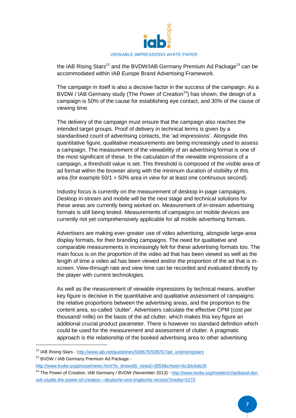

the IAB Rising Stars<sup>12</sup> and the BVDW/IAB Germany Premium Ad Package<sup>13</sup> can be accommodated within IAB Europe Brand Advertising Framework.

The campaign in itself is also a decisive factor in the success of the campaign. As a BVDW / IAB Germany study (The Power of Creation<sup>14</sup>) has shown, the design of a campaign is 50% of the cause for establishing eye contact, and 30% of the cause of viewing time.

The delivery of the campaign must ensure that the campaign also reaches the intended target groups. Proof of delivery in technical terms is given by a standardised count of advertising contacts, the 'ad impressions'. Alongside this quantitative figure, qualitative measurements are being increasingly used to assess a campaign. The measurement of the viewability of an advertising format is one of the most significant of these. In the calculation of the viewable impressions of a campaign, a threshold value is set. This threshold is composed of the visible area of ad format within the browser along with the minimum duration of visibility of this area (for example 50/1 > 50% area in view for at least one continuous second).

Industry focus is currently on the measurement of desktop in-page campaigns. Desktop in-stream and mobile will be the next stage and technical solutions for these areas are currently being worked on. Measurement of in-stream advertising formats is still being tested. Measurements of campaigns on mobile devices are currently not yet comprehensively applicable for all mobile advertising formats.

Advertisers are making ever-greater use of video advertising, alongside large-area display formats, for their branding campaigns. The need for qualitative and comparable measurements is increasingly felt for these advertising formats too. The main focus is on the proportion of the video ad that has been viewed as well as the length of time a video ad has been viewed and/or the proportion of the ad that is inscreen. View-through rate and view time can be recorded and evaluated directly by the player with current technologies.

As well as the measurement of viewable impressions by technical means, another key figure is decisive in the quantitative and qualitative assessment of campaigns: the relative proportions between the advertising areas, and the proportion to the content area, so-called 'clutter'. Advertisers calculate the effective CPM (cost per thousand/ mille) on the basis of the ad clutter, which makes this key figure an additional crucial product parameter. There is however no standard definition which could be used for the measurement and assessment of clutter. A pragmatic approach is the relationship of the booked advertising area to other advertising

<sup>12</sup> IAB Rising Stars - [http://www.iab.net/guidelines/508676/508767/ad\\_unit/risingstars](http://www.iab.net/guidelines/508676/508767/ad_unit/risingstars)

<sup>&</sup>lt;sup>13</sup> BVDW / IAB Germany Premium Ad Package -

[http://www.bvdw.org/presse/news.html?tx\\_ttnews\[tt\\_news\]=3059&cHash=6c3dc6de26](http://www.bvdw.org/presse/news.html?tx_ttnews%5btt_news%5d=3059&cHash=6c3dc6de26)

<sup>14</sup> The Power of Creation, IAB Germany / BVDW (November 2013) - [http://www.bvdw.org/medien/chartband-der](http://www.bvdw.org/medien/chartband-der-ovk-studie-the-power-of-creation---deutsche-und-englische-version?media=5270)[ovk-studie-the-power-of-creation---deutsche-und-englische-version?media=5270](http://www.bvdw.org/medien/chartband-der-ovk-studie-the-power-of-creation---deutsche-und-englische-version?media=5270)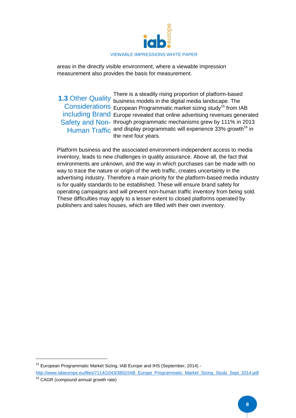

areas in the directly visible environment, where a viewable impression measurement also provides the basis for measurement.

There is a steadily rising proportion of platform-based **1.3** Other Quality business models in the digital media landscape. The Considerations European Programmatic market sizing study<sup>15</sup> from IAB including Brand Europe revealed that online advertising revenues generated Safety and Non- through programmatic mechanisms grew by 111% in 2013 Human Traffic and display programmatic will experience 33% growth<sup>16</sup> in the next four years.

Platform business and the associated environment-independent access to media inventory, leads to new challenges in quality assurance. Above all, the fact that environments are unknown, and the way in which purchases can be made with no way to trace the nature or origin of the web traffic, creates uncertainty in the advertising industry. Therefore a main priority for the platform-based media industry is for quality standards to be established. These will ensure brand safety for operating campaigns and will prevent non-human traffic inventory from being sold. These difficulties may apply to a lesser extent to closed platforms operated by publishers and sales houses, which are filled with their own inventory.

1

<sup>&</sup>lt;sup>15</sup> European Programmatic Market Sizing, IAB Europe and IHS (September, 2014) -

[http://www.iabeurope.eu/files/7114/1043/3802/IAB\\_Europe\\_Programmatic\\_Market\\_Sizing\\_Study\\_Sept\\_2014.pdf](http://www.iabeurope.eu/files/7114/1043/3802/IAB_Europe_Programmatic_Market_Sizing_Study_Sept_2014.pdf) <sup>16</sup> CAGR (compound annual growth rate)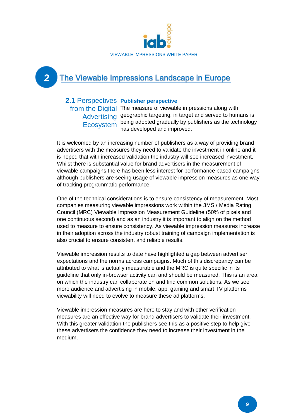

# The Viewable Impressions Landscape in Europe

#### 2.1 Perspectives Publisher perspective

**2**

from the Digital The measure of viewable impressions along with Advertising geographic targeting, in target and served to humans is Ecosystem being adopted gradually by publishers as the technology has developed and improved.

It is welcomed by an increasing number of publishers as a way of providing brand advertisers with the measures they need to validate the investment in online and it is hoped that with increased validation the industry will see increased investment. Whilst there is substantial value for brand advertisers in the measurement of viewable campaigns there has been less interest for performance based campaigns although publishers are seeing usage of viewable impression measures as one way of tracking programmatic performance.

One of the technical considerations is to ensure consistency of measurement. Most companies measuring viewable impressions work within the 3MS / Media Rating Council (MRC) Viewable Impression Measurement Guideline (50% of pixels and one continuous second) and as an industry it is important to align on the method used to measure to ensure consistency. As viewable impression measures increase in their adoption across the industry robust training of campaign implementation is also crucial to ensure consistent and reliable results.

Viewable impression results to date have highlighted a gap between advertiser expectations and the norms across campaigns. Much of this discrepancy can be attributed to what is actually measurable and the MRC is quite specific in its guideline that only in-browser activity can and should be measured. This is an area on which the industry can collaborate on and find common solutions. As we see more audience and advertising in mobile, app, gaming and smart TV platforms viewability will need to evolve to measure these ad platforms.

Viewable impression measures are here to stay and with other verification measures are an effective way for brand advertisers to validate their investment. With this greater validation the publishers see this as a positive step to help give these advertisers the confidence they need to increase their investment in the medium.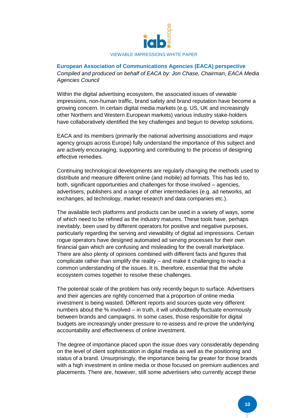

#### **European Association of Communications Agencies (EACA) perspective** *Compiled and produced on behalf of EACA by: Jon Chase, Chairman, EACA Media Agencies Council*

Within the digital advertising ecosystem, the associated issues of viewable impressions, non-human traffic, brand safety and brand reputation have become a growing concern. In certain digital media markets (e.g. US, UK and increasingly other Northern and Western European markets) various industry stake-holders have collaboratively identified the key challenges and begun to develop solutions.

EACA and its members (primarily the national advertising associations and major agency groups across Europe) fully understand the importance of this subject and are actively encouraging, supporting and contributing to the process of designing effective remedies.

Continuing technological developments are regularly changing the methods used to distribute and measure different online (and mobile) ad formats. This has led to, both, significant opportunities and challenges for those involved – agencies, advertisers, publishers and a range of other intermediaries (e.g. ad networks, ad exchanges, ad technology, market research and data companies etc.).

The available tech platforms and products can be used in a variety of ways, some of which need to be refined as the industry matures. These tools have, perhaps inevitably, been used by different operators for positive and negative purposes, particularly regarding the serving and viewability of digital ad impressions. Certain rogue operators have designed automated ad serving processes for their own financial gain which are confusing and misleading for the overall marketplace. There are also plenty of opinions combined with different facts and figures that complicate rather than simplify the reality – and make it challenging to reach a common understanding of the issues. It is, therefore, essential that the whole ecosystem comes together to resolve these challenges.

The potential scale of the problem has only recently begun to surface. Advertisers and their agencies are rightly concerned that a proportion of online media investment is being wasted. Different reports and sources quote very different numbers about the % involved – in truth, it will undoubtedly fluctuate enormously between brands and campaigns. In some cases, those responsible for digital budgets are increasingly under pressure to re-assess and re-prove the underlying accountability and effectiveness of online investment.

The degree of importance placed upon the issue does vary considerably depending on the level of client sophistication in digital media as well as the positioning and status of a brand. Unsurprisingly, the importance being far greater for those brands with a high investment in online media or those focused on premium audiences and placements. There are, however, still some advertisers who currently accept these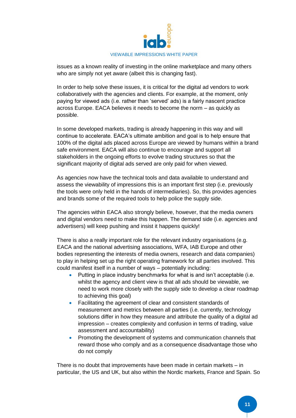

issues as a known reality of investing in the online marketplace and many others who are simply not yet aware (albeit this is changing fast).

In order to help solve these issues, it is critical for the digital ad vendors to work collaboratively with the agencies and clients. For example, at the moment, only paying for viewed ads (i.e. rather than 'served' ads) is a fairly nascent practice across Europe. EACA believes it needs to become the norm – as quickly as possible.

In some developed markets, trading is already happening in this way and will continue to accelerate. EACA's ultimate ambition and goal is to help ensure that 100% of the digital ads placed across Europe are viewed by humans within a brand safe environment. EACA will also continue to encourage and support all stakeholders in the ongoing efforts to evolve trading structures so that the significant majority of digital ads served are only paid for when viewed.

As agencies now have the technical tools and data available to understand and assess the viewability of impressions this is an important first step (i.e. previously the tools were only held in the hands of intermediaries). So, this provides agencies and brands some of the required tools to help police the supply side.

The agencies within EACA also strongly believe, however, that the media owners and digital vendors need to make this happen. The demand side (i.e. agencies and advertisers) will keep pushing and insist it happens quickly!

There is also a really important role for the relevant industry organisations (e.g. EACA and the national advertising associations, WFA, IAB Europe and other bodies representing the interests of media owners, research and data companies) to play in helping set up the right operating framework for all parties involved. This could manifest itself in a number of ways – potentially including:

- Putting in place industry benchmarks for what is and isn't acceptable (i.e. whilst the agency and client view is that all ads should be viewable, we need to work more closely with the supply side to develop a clear roadmap to achieving this goal)
- Facilitating the agreement of clear and consistent standards of measurement and metrics between all parties (i.e. currently, technology solutions differ in how they measure and attribute the quality of a digital ad impression – creates complexity and confusion in terms of trading, value assessment and accountability)
- Promoting the development of systems and communication channels that reward those who comply and as a consequence disadvantage those who do not comply

There is no doubt that improvements have been made in certain markets – in particular, the US and UK, but also within the Nordic markets, France and Spain. So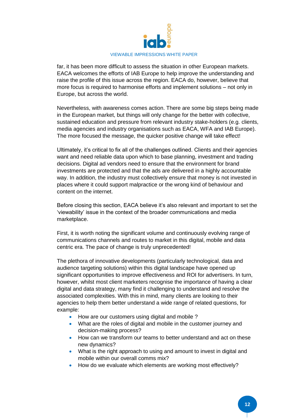

far, it has been more difficult to assess the situation in other European markets. EACA welcomes the efforts of IAB Europe to help improve the understanding and raise the profile of this issue across the region. EACA do, however, believe that more focus is required to harmonise efforts and implement solutions – not only in Europe, but across the world.

Nevertheless, with awareness comes action. There are some big steps being made in the European market, but things will only change for the better with collective, sustained education and pressure from relevant industry stake-holders (e.g. clients, media agencies and industry organisations such as EACA, WFA and IAB Europe). The more focused the message, the quicker positive change will take effect!

Ultimately, it's critical to fix all of the challenges outlined. Clients and their agencies want and need reliable data upon which to base planning, investment and trading decisions. Digital ad vendors need to ensure that the environment for brand investments are protected and that the ads are delivered in a highly accountable way. In addition, the industry must collectively ensure that money is not invested in places where it could support malpractice or the wrong kind of behaviour and content on the internet.

Before closing this section, EACA believe it's also relevant and important to set the 'viewability' issue in the context of the broader communications and media marketplace.

First, it is worth noting the significant volume and continuously evolving range of communications channels and routes to market in this digital, mobile and data centric era. The pace of change is truly unprecedented!

The plethora of innovative developments (particularly technological, data and audience targeting solutions) within this digital landscape have opened up significant opportunities to improve effectiveness and ROI for advertisers. In turn, however, whilst most client marketers recognise the importance of having a clear digital and data strategy, many find it challenging to understand and resolve the associated complexities. With this in mind, many clients are looking to their agencies to help them better understand a wide range of related questions, for example:

- How are our customers using digital and mobile?
- What are the roles of digital and mobile in the customer journey and decision-making process?
- How can we transform our teams to better understand and act on these new dynamics?
- What is the right approach to using and amount to invest in digital and mobile within our overall comms mix?
- How do we evaluate which elements are working most effectively?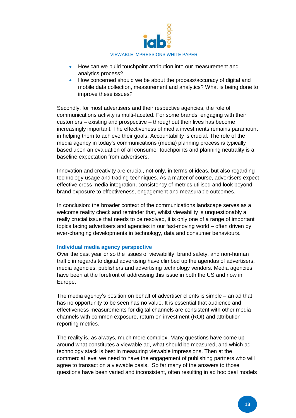

- How can we build touchpoint attribution into our measurement and analytics process?
- How concerned should we be about the process/accuracy of digital and mobile data collection, measurement and analytics? What is being done to improve these issues?

Secondly, for most advertisers and their respective agencies, the role of communications activity is multi-faceted. For some brands, engaging with their customers – existing and prospective – throughout their lives has become increasingly important. The effectiveness of media investments remains paramount in helping them to achieve their goals. Accountability is crucial. The role of the media agency in today's communications (media) planning process is typically based upon an evaluation of all consumer touchpoints and planning neutrality is a baseline expectation from advertisers.

Innovation and creativity are crucial, not only, in terms of ideas, but also regarding technology usage and trading techniques. As a matter of course, advertisers expect effective cross media integration, consistency of metrics utilised and look beyond brand exposure to effectiveness, engagement and measurable outcomes.

In conclusion: the broader context of the communications landscape serves as a welcome reality check and reminder that, whilst viewability is unquestionably a really crucial issue that needs to be resolved, it is only one of a range of important topics facing advertisers and agencies in our fast-moving world – often driven by ever-changing developments in technology, data and consumer behaviours.

#### **Individual media agency perspective**

Over the past year or so the issues of viewability, brand safety, and non-human traffic in regards to digital advertising have climbed up the agendas of advertisers, media agencies, publishers and advertising technology vendors. Media agencies have been at the forefront of addressing this issue in both the US and now in Europe.

The media agency's position on behalf of advertiser clients is simple – an ad that has no opportunity to be seen has no value. It is essential that audience and effectiveness measurements for digital channels are consistent with other media channels with common exposure, return on investment (ROI) and attribution reporting metrics.

The reality is, as always, much more complex. Many questions have come up around what constitutes a viewable ad, what should be measured, and which ad technology stack is best in measuring viewable impressions. Then at the commercial level we need to have the engagement of publishing partners who will agree to transact on a viewable basis. So far many of the answers to those questions have been varied and inconsistent, often resulting in ad hoc deal models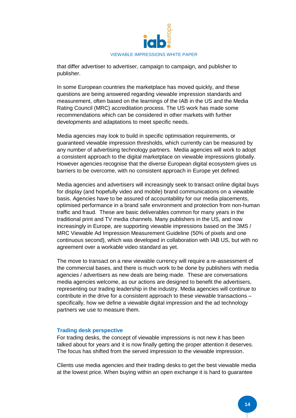

that differ advertiser to advertiser, campaign to campaign, and publisher to publisher.

In some European countries the marketplace has moved quickly, and these questions are being answered regarding viewable impression standards and measurement, often based on the learnings of the IAB in the US and the Media Rating Council (MRC) accreditation process. The US work has made some recommendations which can be considered in other markets with further developments and adaptations to meet specific needs.

Media agencies may look to build in specific optimisation requirements, or guaranteed viewable impression thresholds, which currently can be measured by any number of advertising technology partners. Media agencies will work to adopt a consistent approach to the digital marketplace on viewable impressions globally. However agencies recognise that the diverse European digital ecosystem gives us barriers to be overcome, with no consistent approach in Europe yet defined.

Media agencies and advertisers will increasingly seek to transact online digital buys for display (and hopefully video and mobile) brand communications on a viewable basis. Agencies have to be assured of accountability for our media placements, optimised performance in a brand safe environment and protection from non-human traffic and fraud. These are basic deliverables common for many years in the traditional print and TV media channels. Many publishers in the US, and now increasingly in Europe, are supporting viewable impressions based on the 3MS / MRC Viewable Ad Impression Measurement Guideline (50% of pixels and one continuous second), which was developed in collaboration with IAB US, but with no agreement over a workable video standard as yet.

The move to transact on a new viewable currency will require a re-assessment of the commercial bases, and there is much work to be done by publishers with media agencies / advertisers as new deals are being made. These are conversations media agencies welcome, as our actions are designed to benefit the advertisers, representing our trading leadership in the industry. Media agencies will continue to contribute in the drive for a consistent approach to these viewable transactions – specifically, how we define a viewable digital impression and the ad technology partners we use to measure them.

#### **Trading desk perspective**

For trading desks, the concept of viewable impressions is not new it has been talked about for years and it is now finally getting the proper attention it deserves. The focus has shifted from the served impression to the viewable impression.

Clients use media agencies and their trading desks to get the best viewable media at the lowest price. When buying within an open exchange it is hard to guarantee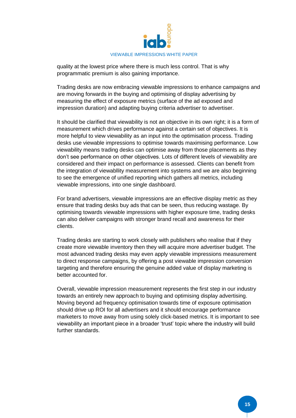

quality at the lowest price where there is much less control. That is why programmatic premium is also gaining importance.

Trading desks are now embracing viewable impressions to enhance campaigns and are moving forwards in the buying and optimising of display advertising by measuring the effect of exposure metrics (surface of the ad exposed and impression duration) and adapting buying criteria advertiser to advertiser.

It should be clarified that viewability is not an objective in its own right; it is a form of measurement which drives performance against a certain set of objectives. It is more helpful to view viewability as an input into the optimisation process. Trading desks use viewable impressions to optimise towards maximising performance. Low viewability means trading desks can optimise away from those placements as they don't see performance on other objectives. Lots of different levels of viewability are considered and their impact on performance is assessed. Clients can benefit from the integration of viewabllity measurement into systems and we are also beginning to see the emergence of unified reporting which gathers all metrics, including viewable impressions, into one single dashboard.

For brand advertisers, viewable impressions are an effective display metric as they ensure that trading desks buy ads that can be seen, thus reducing wastage. By optimising towards viewable impressions with higher exposure time, trading desks can also deliver campaigns with stronger brand recall and awareness for their clients.

Trading desks are starting to work closely with publishers who realise that if they create more viewable inventory then they will acquire more advertiser budget. The most advanced trading desks may even apply viewable impressions measurement to direct response campaigns, by offering a post viewable impression conversion targeting and therefore ensuring the genuine added value of display marketing is better accounted for.

Overall, viewable impression measurement represents the first step in our industry towards an entirely new approach to buying and optimising display advertising. Moving beyond ad frequency optimisation towards time of exposure optimisation should drive up ROI for all advertisers and it should encourage performance marketers to move away from using solely click-based metrics. It is important to see viewability an important piece in a broader 'trust' topic where the industry will build further standards.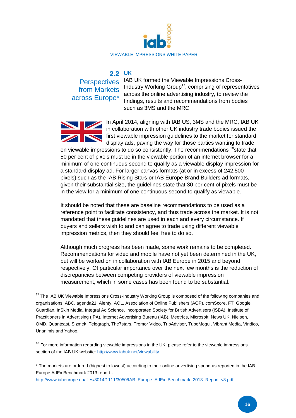

#### **UK 2.2**

from Markets across Europe\*

Perspectives IAB UK formed the Viewable Impressions Cross-Industry Working Group<sup>17</sup>, comprising of representatives across the online advertising industry, to review the findings, results and recommendations from bodies such as 3MS and the MRC.



**.** 

In April 2014, aligning with IAB US, 3MS and the MRC, IAB UK in collaboration with other UK industry trade bodies issued the first viewable impression guidelines to the market for standard display ads, paving the way for those parties wanting to trade

on viewable impressions to do so consistently. The recommendations <sup>18</sup>state that 50 per cent of pixels must be in the viewable portion of an internet browser for a minimum of one continuous second to qualify as a viewable display impression for a standard display ad. For larger canvas formats (at or in excess of 242,500 pixels) such as the IAB Rising Stars or IAB Europe Brand Builders ad formats, given their substantial size, the guidelines state that 30 per cent of pixels must be in the view for a minimum of one continuous second to qualify as viewable.

It should be noted that these are baseline recommendations to be used as a reference point to facilitate consistency, and thus trade across the market. It is not mandated that these guidelines are used in each and every circumstance. If buyers and sellers wish to and can agree to trade using different viewable impression metrics, then they should feel free to do so.

Although much progress has been made, some work remains to be completed. Recommendations for video and mobile have not yet been determined in the UK, but will be worked on in collaboration with IAB Europe in 2015 and beyond respectively. Of particular importance over the next few months is the reduction of discrepancies between competing providers of viewable impression measurement, which in some cases has been found to be substantial.

 $18$  For more information regarding viewable impressions in the UK, please refer to the viewable impressions section of the IAB UK website[: http://www.iabuk.net/viewability](http://www.iabuk.net/viewability)

\* The markets are ordered (highest to lowest) according to their online advertising spend as reported in the IAB Europe AdEx Benchmark 2013 report -

[http://www.iabeurope.eu/files/8014/1111/3050/IAB\\_Europe\\_AdEx\\_Benchmark\\_2013\\_Report\\_v3.pdf](http://www.iabeurope.eu/files/8014/1111/3050/IAB_Europe_AdEx_Benchmark_2013_Report_v3.pdf)

<sup>&</sup>lt;sup>17</sup> The IAB UK Viewable Impressions Cross-Industry Working Group is composed of the following companies and organisations: ABC, agenda21, Alenty, AOL, Association of Online Publishers (AOP), comScore, FT, Google, Guardian, InSkin Media, Integral Ad Science, Incorporated Society for British Advertisers (ISBA), Institute of Practitioners in Advertising (IPA), Internet Advertising Bureau (IAB), Meetrics, Microsoft, News UK, Nielsen, OMD, Quantcast, Sizmek, Telegraph, The7stars, Tremor Video, TripAdvisor, TubeMogul, Vibrant Media, Vindico, Unanimis and Yahoo.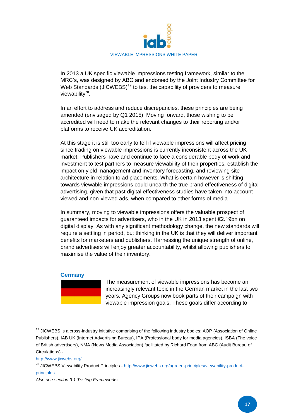

In 2013 a UK specific viewable impressions testing framework, similar to the MRC's, was designed by ABC and endorsed by the Joint Industry Committee for Web Standards (JICWEBS)<sup>19</sup> to test the capability of providers to measure viewability<sup>20</sup>.

In an effort to address and reduce discrepancies, these principles are being amended (envisaged by Q1 2015). Moving forward, those wishing to be accredited will need to make the relevant changes to their reporting and/or platforms to receive UK accreditation.

At this stage it is still too early to tell if viewable impressions will affect pricing since trading on viewable impressions is currently inconsistent across the UK market. Publishers have and continue to face a considerable body of work and investment to test partners to measure viewability of their properties, establish the impact on yield management and inventory forecasting, and reviewing site architecture in relation to ad placements. What is certain however is shifting towards viewable impressions could unearth the true brand effectiveness of digital advertising, given that past digital effectiveness studies have taken into account viewed and non-viewed ads, when compared to other forms of media.

In summary, moving to viewable impressions offers the valuable prospect of guaranteed impacts for advertisers, who in the UK in 2013 spent €2.19bn on digital display. As with any significant methodology change, the new standards will require a settling in period, but thinking in the UK is that they will deliver important benefits for marketers and publishers. Harnessing the unique strength of online, brand advertisers will enjoy greater accountability, whilst allowing publishers to maximise the value of their inventory.

#### **Germany**

The measurement of viewable impressions has become an increasingly relevant topic in the German market in the last two years. Agency Groups now book parts of their campaign with viewable impression goals. These goals differ according to

<http://www.jicwebs.org/>

<sup>&</sup>lt;sup>19</sup> JICWEBS is a cross-industry initiative comprising of the following industry bodies: AOP (Association of Online Publishers), IAB UK (Internet Advertising Bureau), IPA (Professional body for media agencies), ISBA (The voice of British advertisers), NMA (News Media Association) facilitated by Richard Foan from ABC (Audit Bureau of Circulations) -

<sup>&</sup>lt;sup>20</sup> JICWEBS Viewability Product Principles - [http://www.jicwebs.org/agreed-principles/viewability-product](http://www.jicwebs.org/agreed-principles/viewability-product-principles)[principles](http://www.jicwebs.org/agreed-principles/viewability-product-principles)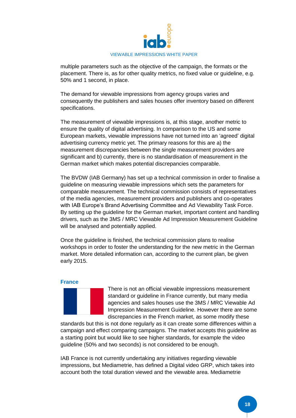

multiple parameters such as the objective of the campaign, the formats or the placement. There is, as for other quality metrics, no fixed value or guideline, e.g. 50% and 1 second, in place.

The demand for viewable impressions from agency groups varies and consequently the publishers and sales houses offer inventory based on different specifications.

The measurement of viewable impressions is, at this stage, another metric to ensure the quality of digital advertising. In comparison to the US and some European markets, viewable impressions have not turned into an 'agreed' digital advertising currency metric yet. The primary reasons for this are a) the measurement discrepancies between the single measurement providers are significant and b) currently, there is no standardisation of measurement in the German market which makes potential discrepancies comparable.

The BVDW (IAB Germany) has set up a technical commission in order to finalise a guideline on measuring viewable impressions which sets the parameters for comparable measurement. The technical commission consists of representatives of the media agencies, measurement providers and publishers and co-operates with IAB Europe's Brand Advertising Committee and Ad Viewability Task Force. By setting up the guideline for the German market, important content and handling drivers, such as the 3MS / MRC Viewable Ad Impression Measurement Guideline will be analysed and potentially applied.

Once the guideline is finished, the technical commission plans to realise workshops in order to foster the understanding for the new metric in the German market. More detailed information can, according to the current plan, be given early 2015.

#### **France**



There is not an official viewable impressions measurement standard or guideline in France currently, but many media agencies and sales houses use the 3MS / MRC Viewable Ad Impression Measurement Guideline. However there are some discrepancies in the French market, as some modify these

standards but this is not done regularly as it can create some differences within a campaign and effect comparing campaigns. The market accepts this guideline as a starting point but would like to see higher standards, for example the video guideline (50% and two seconds) is not considered to be enough.

IAB France is not currently undertaking any initiatives regarding viewable impressions, but Mediametrie, has defined a Digital video GRP, which takes into account both the total duration viewed and the viewable area. Mediametrie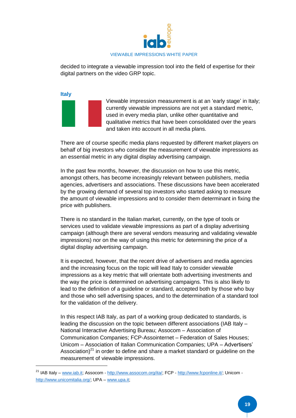

decided to integrate a viewable impression tool into the field of expertise for their digital partners on the video GRP topic.

**Italy**

**.** 

Viewable impression measurement is at an 'early stage' in Italy; currently viewable impressions are not yet a standard metric, used in every media plan, unlike other quantitative and qualitative metrics that have been consolidated over the years and taken into account in all media plans.

There are of course specific media plans requested by different market players on behalf of big investors who consider the measurement of viewable impressions as an essential metric in any digital display advertising campaign.

In the past few months, however, the discussion on how to use this metric, amongst others, has become increasingly relevant between publishers, media agencies, advertisers and associations. These discussions have been accelerated by the growing demand of several top investors who started asking to measure the amount of viewable impressions and to consider them determinant in fixing the price with publishers.

There is no standard in the Italian market, currently, on the type of tools or services used to validate viewable impressions as part of a display advertising campaign (although there are several vendors measuring and validating viewable impressions) nor on the way of using this metric for determining the price of a digital display advertising campaign.

It is expected, however, that the recent drive of advertisers and media agencies and the increasing focus on the topic will lead Italy to consider viewable impressions as a key metric that will orientate both advertising investments and the way the price is determined on advertising campaigns. This is also likely to lead to the definition of a guideline or standard, accepted both by those who buy and those who sell advertising spaces, and to the determination of a standard tool for the validation of the delivery.

In this respect IAB Italy, as part of a working group dedicated to standards, is leading the discussion on the topic between different associations (IAB Italy – National Interactive Advertising Bureau; Assocom – Association of Communication Companies; FCP-Assointernet – Federation of Sales Houses; Unicom – Association of Italian Communication Companies; UPA – Advertisers' Association) $21$  in order to define and share a market standard or guideline on the measurement of viewable impressions.

<sup>&</sup>lt;sup>21</sup> IAB Italy – [www.iab.it;](http://www.iab.it/) Assocom - [http://www.assocom.org/ita/;](http://www.assocom.org/ita/) FCP - [http://www.fcponline.it/;](http://www.fcponline.it/) Unicom [http://www.unicomitalia.org/;](http://www.unicomitalia.org/) UPA – [www.upa.it;](http://www.upa.it/)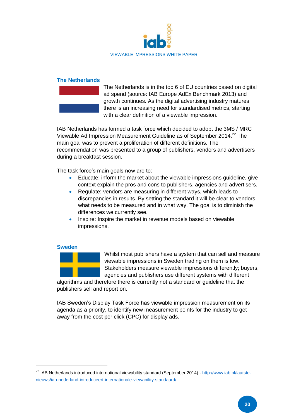

#### **The Netherlands**



The Netherlands is in the top 6 of EU countries based on digital ad spend (source: IAB Europe AdEx Benchmark 2013) and growth continues. As the digital advertising industry matures there is an increasing need for standardised metrics, starting with a clear definition of a viewable impression.

IAB Netherlands has formed a task force which decided to adopt the 3MS / MRC Viewable Ad Impression Measurement Guideline as of September 2014.<sup>22</sup> The main goal was to prevent a proliferation of different definitions. The recommendation was presented to a group of publishers, vendors and advertisers during a breakfast session.

The task force's main goals now are to:

- Educate: inform the market about the viewable impressions guideline, give context explain the pros and cons to publishers, agencies and advertisers.
- Regulate: vendors are measuring in different ways, which leads to discrepancies in results. By setting the standard it will be clear to vendors what needs to be measured and in what way. The goal is to diminish the differences we currently see.
- Inspire: Inspire the market in revenue models based on viewable impressions.

#### **Sweden**

**.** 



Whilst most publishers have a system that can sell and measure viewable impressions in Sweden trading on them is low. Stakeholders measure viewable impressions differently; buyers, agencies and publishers use different systems with different

algorithms and therefore there is currently not a standard or guideline that the publishers sell and report on.

IAB Sweden's Display Task Force has viewable impression measurement on its agenda as a priority, to identify new measurement points for the industry to get away from the cost per click (CPC) for display ads.

<sup>&</sup>lt;sup>22</sup> IAB Netherlands introduced international viewability standard (September 2014) - [http://www.iab.nl/laatste](http://www.iab.nl/laatste-nieuws/iab-nederland-introduceert-internationale-viewability-standaard/)[nieuws/iab-nederland-introduceert-internationale-viewability-standaard/](http://www.iab.nl/laatste-nieuws/iab-nederland-introduceert-internationale-viewability-standaard/)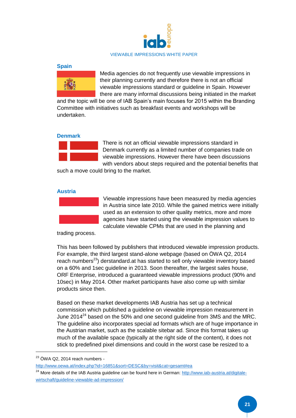

#### **Spain**



Media agencies do not frequently use viewable impressions in their planning currently and therefore there is not an official viewable impressions standard or guideline in Spain. However there are many informal discussions being initiated in the market

and the topic will be one of IAB Spain's main focuses for 2015 within the Branding Committee with initiatives such as breakfast events and workshops will be undertaken.

#### **Denmark**



There is not an official viewable impressions standard in Denmark currently as a limited number of companies trade on viewable impressions. However there have been discussions with vendors about steps required and the potential benefits that

such a move could bring to the market.

#### **Austria**



Viewable impressions have been measured by media agencies in Austria since late 2010. While the gained metrics were initially used as an extension to other quality metrics, more and more agencies have started using the viewable impression values to calculate viewable CPMs that are used in the planning and

trading process.

This has been followed by publishers that introduced viewable impression products. For example, the third largest stand-alone webpage (based on ÖWA Q2, 2014 reach numbers<sup>23</sup>) derstandard.at has started to sell only viewable inventory based on a 60% and 1sec guideline in 2013. Soon thereafter, the largest sales house, ORF Enterprise, introduced a guaranteed viewable impressions product (90% and 10sec) in May 2014. Other market participants have also come up with similar products since then.

Based on these market developments IAB Austria has set up a technical commission which published a guideline on viewable impression measurement in June  $2014^{24}$  based on the 50% and one second guideline from 3MS and the MRC. The guideline also incorporates special ad formats which are of huge importance in the Austrian market, such as the scalable sitebar ad. Since this format takes up much of the available space (typically at the right side of the content), it does not stick to predefined pixel dimensions and could in the worst case be resized to a

 $23$  ÖWA Q2, 2014 reach numbers -

<http://www.oewa.at/index.php?id=16851&sort=DESC&by=visit&cat=gesamt#ea>

<sup>&</sup>lt;sup>24</sup> More details of the IAB Austria guideline can be found here in German: [http://www.iab-austria.at/digitale](http://www.iab-austria.at/digitale-wirtschaft/guideline-viewable-ad-impression/)[wirtschaft/guideline-viewable-ad-impression/](http://www.iab-austria.at/digitale-wirtschaft/guideline-viewable-ad-impression/)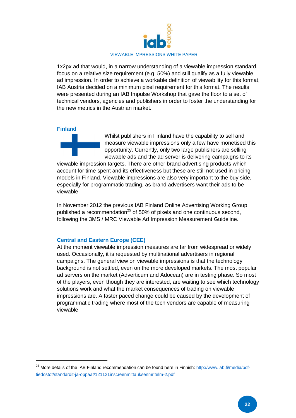

1x2px ad that would, in a narrow understanding of a viewable impression standard, focus on a relative size requirement (e.g. 50%) and still qualify as a fully viewable ad impression. In order to achieve a workable definition of viewability for this format, IAB Austria decided on a minimum pixel requirement for this format. The results were presented during an IAB Impulse Workshop that gave the floor to a set of technical vendors, agencies and publishers in order to foster the understanding for the new metrics in the Austrian market.

#### **Finland**

**.** 

Whilst publishers in Finland have the capability to sell and measure viewable impressions only a few have monetised this opportunity. Currently, only two large publishers are selling viewable ads and the ad server is delivering campaigns to its

viewable impression targets. There are other brand advertising products which account for time spent and its effectiveness but these are still not used in pricing models in Finland. Viewable impressions are also very important to the buy side, especially for programmatic trading, as brand advertisers want their ads to be viewable.

In November 2012 the previous IAB Finland Online Advertising Working Group published a recommendation<sup>25</sup> of 50% of pixels and one continuous second, following the 3MS / MRC Viewable Ad Impression Measurement Guideline.

#### **Central and Eastern Europe (CEE)**

At the moment viewable impression measures are far from widespread or widely used. Occasionally, it is requested by multinational advertisers in regional campaigns. The general view on viewable impressions is that the technology background is not settled, even on the more developed markets. The most popular ad servers on the market (Adverticum and Adocean) are in testing phase. So most of the players, even though they are interested, are waiting to see which technology solutions work and what the market consequences of trading on viewable impressions are. A faster paced change could be caused by the development of programmatic trading where most of the tech vendors are capable of measuring viewable.

<sup>&</sup>lt;sup>25</sup> More details of the IAB Finland recommendation can be found here in Finnish: [http://www.iab.fi/media/pdf](http://www.iab.fi/media/pdf-tiedostot/standardit-ja-oppaat/121121inscreenmittauksenmritelm-2.pdf)[tiedostot/standardit-ja-oppaat/121121inscreenmittauksenmritelm-2.pdf](http://www.iab.fi/media/pdf-tiedostot/standardit-ja-oppaat/121121inscreenmittauksenmritelm-2.pdf)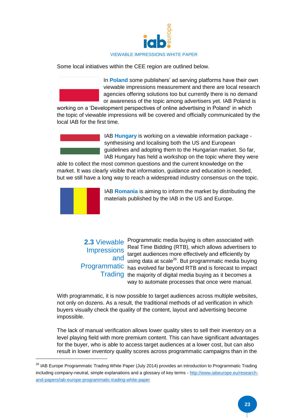

Some local initiatives within the CEE region are outlined below.

In **Poland** some publishers' ad serving platforms have their own viewable impressions measurement and there are local research agencies offering solutions too but currently there is no demand or awareness of the topic among advertisers yet. IAB Poland is

working on a 'Development perspectives of online advertising in Poland' in which the topic of viewable impressions will be covered and officially communicated by the local IAB for the first time.



IAB **Hungary** is working on a viewable information package synthesising and localising both the US and European guidelines and adopting them to the Hungarian market. So far, IAB Hungary has held a workshop on the topic where they were

able to collect the most common questions and the current knowledge on the market. It was clearly visible that information, guidance and education is needed, but we still have a long way to reach a widespread industry consensus on the topic.



1

IAB **Romania** is aiming to inform the market by distributing the materials published by the IAB in the US and Europe.

**Impressions** 

**2.3** Viewable Programmatic media buying is often associated with Real Time Bidding (RTB), which allows advertisers to target audiences more effectively and efficiently by and using data at scale<sup>26</sup>. But programmatic media buying Programmatic has evolved far beyond RTB and is forecast to impact Trading the majority of digital media buying as it becomes a way to automate processes that once were manual.

With programmatic, it is now possible to target audiences across multiple websites, not only on dozens. As a result, the traditional methods of ad verification in which buyers visually check the quality of the content, layout and advertising become impossible.

The lack of manual verification allows lower quality sites to sell their inventory on a level playing field with more premium content. This can have significant advantages for the buyer, who is able to access target audiences at a lower cost, but can also result in lower inventory quality scores across programmatic campaigns than in the

<sup>&</sup>lt;sup>26</sup> IAB Europe Programmatic Trading White Paper (July 2014) provides an introduction to Programmatic Trading including company-neutral, simple explanations and a glossary of key terms - [http://www.iabeurope.eu/research](http://www.iabeurope.eu/research-and-papers/iab-europe-programmatic-trading-white-paper)[and-papers/iab-europe-programmatic-trading-white-paper](http://www.iabeurope.eu/research-and-papers/iab-europe-programmatic-trading-white-paper)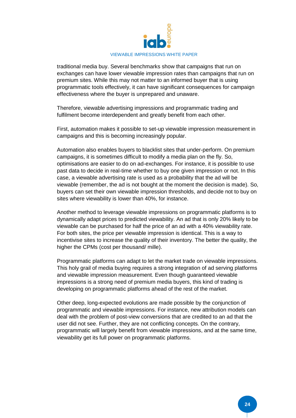

traditional media buy. Several benchmarks show that campaigns that run on exchanges can have lower viewable impression rates than campaigns that run on premium sites. While this may not matter to an informed buyer that is using programmatic tools effectively, it can have significant consequences for campaign effectiveness where the buyer is unprepared and unaware.

Therefore, viewable advertising impressions and programmatic trading and fulfilment become interdependent and greatly benefit from each other.

First, automation makes it possible to set-up viewable impression measurement in campaigns and this is becoming increasingly popular.

Automation also enables buyers to blacklist sites that under-perform. On premium campaigns, it is sometimes difficult to modify a media plan on the fly. So, optimisations are easier to do on ad-exchanges. For instance, it is possible to use past data to decide in real-time whether to buy one given impression or not. In this case, a viewable advertising rate is used as a probability that the ad will be viewable (remember, the ad is not bought at the moment the decision is made). So, buyers can set their own viewable impression thresholds, and decide not to buy on sites where viewability is lower than 40%, for instance.

Another method to leverage viewable impressions on programmatic platforms is to dynamically adapt prices to predicted viewability. An ad that is only 20% likely to be viewable can be purchased for half the price of an ad with a 40% viewability rate. For both sites, the price per viewable impression is identical. This is a way to incentivise sites to increase the quality of their inventory. The better the quality, the higher the CPMs (cost per thousand/ mille).

Programmatic platforms can adapt to let the market trade on viewable impressions. This holy grail of media buying requires a strong integration of ad serving platforms and viewable impression measurement. Even though guaranteed viewable impressions is a strong need of premium media buyers, this kind of trading is developing on programmatic platforms ahead of the rest of the market.

Other deep, long-expected evolutions are made possible by the conjunction of programmatic and viewable impressions. For instance, new attribution models can deal with the problem of post-view conversions that are credited to an ad that the user did not see. Further, they are not conflicting concepts. On the contrary, programmatic will largely benefit from viewable impressions, and at the same time, viewability get its full power on programmatic platforms.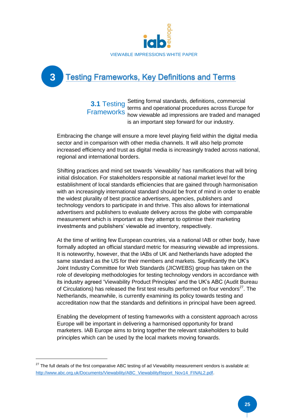

# **Testing Frameworks, Key Definitions and Terms**

Setting formal standards, definitions, commercial terms and operational procedures across Europe for how viewable ad impressions are traded and managed is an important step forward for our industry. **3.1** Testing **Frameworks** 

Embracing the change will ensure a more level playing field within the digital media sector and in comparison with other media channels. It will also help promote increased efficiency and trust as digital media is increasingly traded across national, regional and international borders.

Shifting practices and mind set towards 'viewability' has ramifications that will bring initial dislocation. For stakeholders responsible at national market level for the establishment of local standards efficiencies that are gained through harmonisation with an increasingly international standard should be front of mind in order to enable the widest plurality of best practice advertisers, agencies, publishers and technology vendors to participate in and thrive. This also allows for international advertisers and publishers to evaluate delivery across the globe with comparable measurement which is important as they attempt to optimise their marketing investments and publishers' viewable ad inventory, respectively.

At the time of writing few European countries, via a national IAB or other body, have formally adopted an official standard metric for measuring viewable ad impressions. It is noteworthy, however, that the IABs of UK and Netherlands have adopted the same standard as the US for their members and markets. Significantly the UK's Joint Industry Committee for Web Standards (JICWEBS) group has taken on the role of developing methodologies for testing technology vendors in accordance with its industry agreed 'Viewability Product Principles' and the UK's ABC (Audit Bureau of Circulations) has released the first test results performed on four vendors $^{27}$ . The Netherlands, meanwhile, is currently examining its policy towards testing and accreditation now that the standards and definitions in principal have been agreed.

Enabling the development of testing frameworks with a consistent approach across Europe will be important in delivering a harmonised opportunity for brand marketers. IAB Europe aims to bring together the relevant stakeholders to build principles which can be used by the local markets moving forwards.

1

**3**

 $27$  The full details of the first comparative ABC testing of ad Viewability measurement vendors is available at: [http://www.abc.org.uk/Documents/Viewability/ABC\\_ViewabilityReport\\_Nov14\\_FINAL2.pdf.](http://www.abc.org.uk/Documents/Viewability/ABC_ViewabilityReport_Nov14_FINAL2.pdf)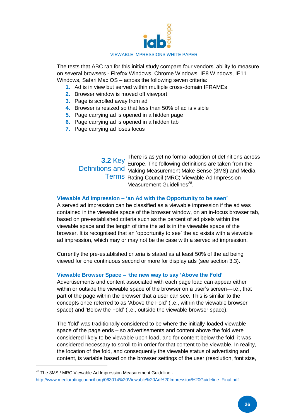

The tests that ABC ran for this initial study compare four vendors' ability to measure on several browsers - Firefox Windows, Chrome Windows, IE8 Windows, IE11 Windows, Safari Mac OS – across the following seven criteria:

- **1.** Ad is in view but served within multiple cross-domain IFRAMEs
- **2.** Browser window is moved off viewport
- **3.** Page is scrolled away from ad
- **4.** Browser is resized so that less than 50% of ad is visible
- **5.** Page carrying ad is opened in a hidden page
- **6.** Page carrying ad is opened in a hidden tab
- **7.** Page carrying ad loses focus

There is as yet no formal adoption of definitions across Europe. The following definitions are taken from the **3.2** Key Definitions and Making Measurement Make Sense (3MS) and Media Terms Rating Council (MRC) Viewable Ad Impression Measurement Guidelines<sup>28</sup>.

#### **Viewable Ad Impression – 'an Ad with the Opportunity to be seen'**

A served ad impression can be classified as a viewable impression if the ad was contained in the viewable space of the browser window, on an in-focus browser tab, based on pre-established criteria such as the percent of ad pixels within the viewable space and the length of time the ad is in the viewable space of the browser. It is recognised that an 'opportunity to see' the ad exists with a viewable ad impression, which may or may not be the case with a served ad impression.

Currently the pre-established criteria is stated as at least 50% of the ad being viewed for one continuous second or more for display ads (see section 3.3).

#### **Viewable Browser Space – 'the new way to say 'Above the Fold'**

Advertisements and content associated with each page load can appear either within or outside the viewable space of the browser on a user's screen—i.e., that part of the page within the browser that a user can see. This is similar to the concepts once referred to as 'Above the Fold' (i.e., within the viewable browser space) and 'Below the Fold' (i.e., outside the viewable browser space).

The 'fold' was traditionally considered to be where the initially-loaded viewable space of the page ends – so advertisements and content above the fold were considered likely to be viewable upon load, and for content below the fold, it was considered necessary to scroll to in order for that content to be viewable. In reality, the location of the fold, and consequently the viewable status of advertising and content, is variable based on the browser settings of the user (resolution, font size,

<sup>&</sup>lt;sup>28</sup> The 3MS / MRC Viewable Ad Impression Measurement Guideline [http://www.mediaratingcouncil.org/063014%20Viewable%20Ad%20Impression%20Guideline\\_Final.pdf](http://www.mediaratingcouncil.org/063014%20Viewable%20Ad%20Impression%20Guideline_Final.pdf)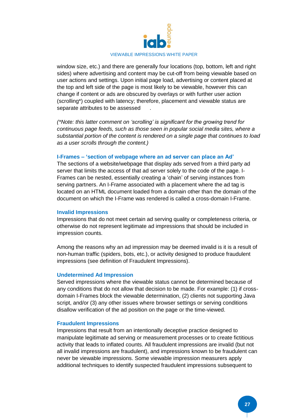

window size, etc.) and there are generally four locations (top, bottom, left and right sides) where advertising and content may be cut-off from being viewable based on user actions and settings. Upon initial page load, advertising or content placed at the top and left side of the page is most likely to be viewable, however this can change if content or ads are obscured by overlays or with further user action (scrolling\*) coupled with latency; therefore, placement and viewable status are separate attributes to be assessed

*(\*Note: this latter comment on 'scrolling' is significant for the growing trend for continuous page feeds, such as those seen in popular social media sites, where a substantial portion of the content is rendered on a single page that continues to load as a user scrolls through the content.)*

#### **I-Frames – 'section of webpage where an ad server can place an Ad'**

The sections of a website/webpage that display ads served from a third party ad server that limits the access of that ad server solely to the code of the page. I-Frames can be nested, essentially creating a 'chain' of serving instances from serving partners. An I-Frame associated with a placement where the ad tag is located on an HTML document loaded from a domain other than the domain of the document on which the I-Frame was rendered is called a cross-domain I-Frame.

#### **Invalid Impressions**

Impressions that do not meet certain ad serving quality or completeness criteria, or otherwise do not represent legitimate ad impressions that should be included in impression counts.

Among the reasons why an ad impression may be deemed invalid is it is a result of non-human traffic (spiders, bots, etc.), or activity designed to produce fraudulent impressions (see definition of Fraudulent Impressions).

#### **Undetermined Ad Impression**

Served impressions where the viewable status cannot be determined because of any conditions that do not allow that decision to be made. For example: (1) if crossdomain I-Frames block the viewable determination, (2) clients not supporting Java script, and/or (3) any other issues where browser settings or serving conditions disallow verification of the ad position on the page or the time-viewed.

#### **Fraudulent Impressions**

Impressions that result from an intentionally deceptive practice designed to manipulate legitimate ad serving or measurement processes or to create fictitious activity that leads to inflated counts. All fraudulent impressions are invalid (but not all invalid impressions are fraudulent), and impressions known to be fraudulent can never be viewable impressions. Some viewable impression measurers apply additional techniques to identify suspected fraudulent impressions subsequent to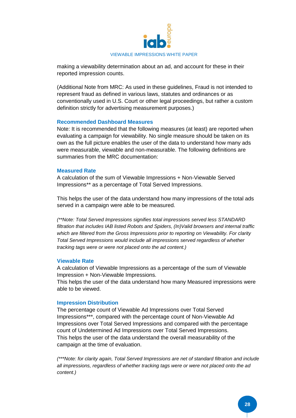

making a viewability determination about an ad, and account for these in their reported impression counts.

(Additional Note from MRC: As used in these guidelines, Fraud is not intended to represent fraud as defined in various laws, statutes and ordinances or as conventionally used in U.S. Court or other legal proceedings, but rather a custom definition strictly for advertising measurement purposes.)

#### **Recommended Dashboard Measures**

Note: It is recommended that the following measures (at least) are reported when evaluating a campaign for viewability. No single measure should be taken on its own as the full picture enables the user of the data to understand how many ads were measurable, viewable and non-measurable. The following definitions are summaries from the MRC documentation:

#### **Measured Rate**

A calculation of the sum of Viewable Impressions + Non-Viewable Served Impressions\*\* as a percentage of Total Served Impressions.

This helps the user of the data understand how many impressions of the total ads served in a campaign were able to be measured.

*(\*\*Note: Total Served Impressions signifies total impressions served less STANDARD filtration that includes IAB listed Robots and Spiders, (In)Valid browsers and internal traffic which are filtered from the Gross Impressions prior to reporting on Viewability. For clarity Total Served Impressions would include all impressions served regardless of whether tracking tags were or were not placed onto the ad content.)*

#### **Viewable Rate**

A calculation of Viewable Impressions as a percentage of the sum of Viewable Impression + Non-Viewable Impressions.

This helps the user of the data understand how many Measured impressions were able to be viewed.

#### **Impression Distribution**

The percentage count of Viewable Ad Impressions over Total Served Impressions\*\*\*, compared with the percentage count of Non-Viewable Ad Impressions over Total Served Impressions and compared with the percentage count of Undetermined Ad Impressions over Total Served Impressions. This helps the user of the data understand the overall measurability of the campaign at the time of evaluation.

*(\*\*\*Note: for clarity again, Total Served Impressions are net of standard filtration and include all impressions, regardless of whether tracking tags were or were not placed onto the ad content.)*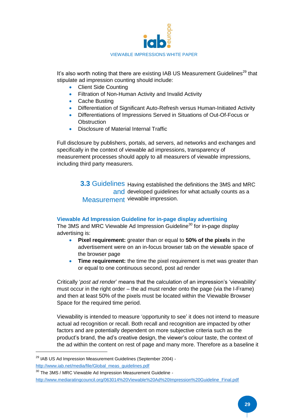

It's also worth noting that there are existing IAB US Measurement Guidelines<sup>29</sup> that stipulate ad impression counting should include:

- Client Side Counting
- Filtration of Non-Human Activity and Invalid Activity
- Cache Busting
- Differentiation of Significant Auto-Refresh versus Human-Initiated Activity
- Differentiations of Impressions Served in Situations of Out-Of-Focus or **Obstruction**
- Disclosure of Material Internal Traffic

Full disclosure by publishers, portals, ad servers, ad networks and exchanges and specifically in the context of viewable ad impressions, transparency of measurement processes should apply to all measurers of viewable impressions, including third party measurers.

> **3.3 Guidelines Having established the definitions the 3MS and MRC** and developed guidelines for what actually counts as a Measurement viewable impression.

#### **Viewable Ad Impression Guideline for in-page display advertising**

The 3MS and MRC Viewable Ad Impression Guideline<sup>30</sup> for in-page display advertising is:

- **Pixel requirement:** greater than or equal to **50% of the pixels** in the advertisement were on an in-focus browser tab on the viewable space of the browser page
- **Time requirement:** the time the pixel requirement is met was greater than or equal to one continuous second, post ad render

Critically '*post ad render*' means that the calculation of an impression's 'viewability' must occur in the right order – the ad must render onto the page (via the I-Frame) and then at least 50% of the pixels must be located within the Viewable Browser Space for the required time period.

Viewability is intended to measure 'opportunity to see' it does not intend to measure actual ad recognition or recall. Both recall and recognition are impacted by other factors and are potentially dependent on more subjective criteria such as the product's brand, the ad's creative design, the viewer's colour taste, the context of the ad within the content on rest of page and many more. Therefore as a baseline it

<sup>29</sup> IAB US Ad Impression Measurement Guidelines (September 2004) -

[http://www.iab.net/media/file/Global\\_meas\\_guidelines.pdf](http://www.iab.net/media/file/Global_meas_guidelines.pdf)

<sup>&</sup>lt;sup>30</sup> The 3MS / MRC Viewable Ad Impression Measurement Guideline [http://www.mediaratingcouncil.org/063014%20Viewable%20Ad%20Impression%20Guideline\\_Final.pdf](http://www.mediaratingcouncil.org/063014%20Viewable%20Ad%20Impression%20Guideline_Final.pdf)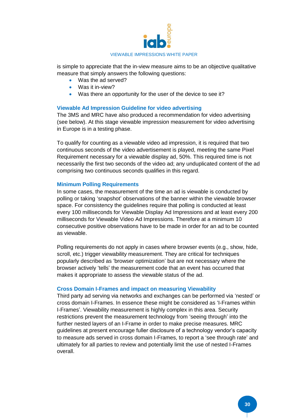

is simple to appreciate that the in-view measure aims to be an objective qualitative measure that simply answers the following questions:

- Was the ad served?
- Was it in-view?
- Was there an opportunity for the user of the device to see it?

#### **Viewable Ad Impression Guideline for video advertising**

The 3MS and MRC have also produced a recommendation for video advertising (see below). At this stage viewable impression measurement for video advertising in Europe is in a testing phase.

To qualify for counting as a viewable video ad impression, it is required that two continuous seconds of the video advertisement is played, meeting the same Pixel Requirement necessary for a viewable display ad, 50%. This required time is not necessarily the first two seconds of the video ad; any unduplicated content of the ad comprising two continuous seconds qualifies in this regard.

#### **Minimum Polling Requirements**

In some cases, the measurement of the time an ad is viewable is conducted by polling or taking 'snapshot' observations of the banner within the viewable browser space. For consistency the guidelines require that polling is conducted at least every 100 milliseconds for Viewable Display Ad Impressions and at least every 200 milliseconds for Viewable Video Ad Impressions. Therefore at a minimum 10 consecutive positive observations have to be made in order for an ad to be counted as viewable.

Polling requirements do not apply in cases where browser events (e.g., show, hide, scroll, etc.) trigger viewability measurement. They are critical for techniques popularly described as 'browser optimization' but are not necessary where the browser actively 'tells' the measurement code that an event has occurred that makes it appropriate to assess the viewable status of the ad.

#### **Cross Domain I-Frames and impact on measuring Viewability**

Third party ad serving via networks and exchanges can be performed via 'nested' or cross domain I-Frames. In essence these might be considered as 'I-Frames within I-Frames'. Viewability measurement is highly complex in this area. Security restrictions prevent the measurement technology from 'seeing through' into the further nested layers of an I-Frame in order to make precise measures. MRC guidelines at present encourage fuller disclosure of a technology vendor's capacity to measure ads served in cross domain I-Frames, to report a 'see through rate' and ultimately for all parties to review and potentially limit the use of nested I-Frames overall.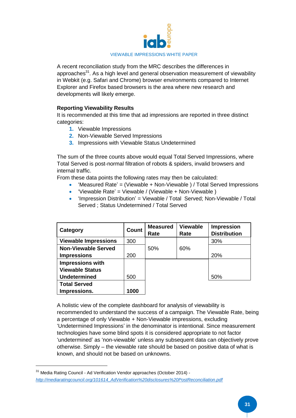

A recent reconciliation study from the MRC describes the differences in approaches<sup>31</sup>. As a high level and general observation measurement of viewability in Webkit (e.g. Safari and Chrome) browser environments compared to Internet Explorer and Firefox based browsers is the area where new research and developments will likely emerge.

#### **Reporting Viewability Results**

It is recommended at this time that ad impressions are reported in three distinct categories:

- **1.** Viewable Impressions
- **2.** Non-Viewable Served Impressions
- **3.** Impressions with Viewable Status Undetermined

The sum of the three counts above would equal Total Served Impressions, where Total Served is post-normal filtration of robots & spiders, invalid browsers and internal traffic.

From these data points the following rates may then be calculated:

- 'Measured Rate' = (Viewable + Non-Viewable ) / Total Served Impressions
- $\bullet$  'Viewable Rate' = Viewable / (Viewable + Non-Viewable )
- $\bullet$  'Impression Distribution' = Viewable / Total Served: Non-Viewable / Total Served ; Status Undetermined / Total Served

| Category                    | Count | <b>Measured</b><br>Rate | <b>Viewable</b><br>Rate | <b>Impression</b><br><b>Distribution</b> |
|-----------------------------|-------|-------------------------|-------------------------|------------------------------------------|
| <b>Viewable Impressions</b> | 300   |                         |                         | 30%                                      |
| <b>Non-Viewable Served</b>  |       | 50%                     | 60%                     |                                          |
| <b>Impressions</b>          | 200   |                         |                         | 20%                                      |
| <b>Impressions with</b>     |       |                         |                         |                                          |
| <b>Viewable Status</b>      |       |                         |                         |                                          |
| <b>Undetermined</b>         | 500   |                         |                         | 50%                                      |
| <b>Total Served</b>         |       |                         |                         |                                          |
| Impressions.                | 1000  |                         |                         |                                          |

A holistic view of the complete dashboard for analysis of viewability is recommended to understand the success of a campaign. The Viewable Rate, being a percentage of only Viewable + Non-Viewable impressions, excluding 'Undetermined Impressions' in the denominator is intentional. Since measurement technologies have some blind spots it is considered appropriate to not factor 'undetermined' as 'non-viewable' unless any subsequent data can objectively prove otherwise. Simply – the viewable rate should be based on positive data of what is known, and should not be based on unknowns.

<sup>&</sup>lt;sup>31</sup> Media Rating Council - Ad Verification Vendor approaches (October 2014) *[http://mediaratingcouncil.org/101614\\_AdVerification%20disclosures%20PostReconciliation.pdf](http://mediaratingcouncil.org/101614_AdVerification%20disclosures%20PostReconciliation.pdf)*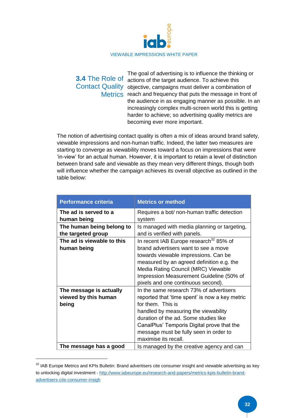

#### The goal of advertising is to influence the thinking or **3.4** The Role of actions of the target audience. To achieve this Contact Quality objective, campaigns must deliver a combination of Metrics reach and frequency that puts the message in front of the audience in as engaging manner as possible. In an increasingly complex multi-screen world this is getting harder to achieve; so advertising quality metrics are becoming ever more important.

The notion of advertising contact quality is often a mix of ideas around brand safety, viewable impressions and non-human traffic. Indeed, the latter two measures are starting to converge as viewability moves toward a focus on impressions that were 'in-view' for an actual human. However, it is important to retain a level of distinction between brand safe and viewable as they mean very different things, though both will influence whether the campaign achieves its overall objective as outlined in the table below:

| <b>Performance criteria</b>                              | <b>Metrics or method</b>                                                                                                                                                                                                                                                                                        |
|----------------------------------------------------------|-----------------------------------------------------------------------------------------------------------------------------------------------------------------------------------------------------------------------------------------------------------------------------------------------------------------|
| The ad is served to a<br>human being                     | Requires a bot/ non-human traffic detection<br>system                                                                                                                                                                                                                                                           |
| The human being belong to<br>the targeted group          | Is managed with media planning or targeting,<br>and is verified with panels.                                                                                                                                                                                                                                    |
| The ad is viewable to this<br>human being                | In recent IAB Europe research <sup>32</sup> 85% of<br>brand advertisers want to see a move<br>towards viewable impressions. Can be<br>measured by an agreed definition e.g. the<br>Media Rating Council (MRC) Viewable<br>Impression Measurement Guideline (50% of<br>pixels and one continuous second).        |
| The message is actually<br>viewed by this human<br>being | In the same research 73% of advertisers<br>reported that 'time spent' is now a key metric<br>for them. This is<br>handled by measuring the viewability<br>duration of the ad. Some studies like<br>CanalPlus' Temporis Digital prove that the<br>message must be fully seen in order to<br>maximise its recall. |
| The message has a good                                   | Is managed by the creative agency and can                                                                                                                                                                                                                                                                       |

<sup>&</sup>lt;sup>32</sup> IAB Europe Metrics and KPIs Bulletin: Brand advertisers cite consumer insight and viewable advertising as key to unlocking digital investment - [http://www.iabeurope.eu/research-and-papers/metrics-kpis-bulletin-brand](http://www.iabeurope.eu/research-and-papers/metrics-kpis-bulletin-brand-advertisers-cite-consumer-insigh)[advertisers-cite-consumer-insigh](http://www.iabeurope.eu/research-and-papers/metrics-kpis-bulletin-brand-advertisers-cite-consumer-insigh)

1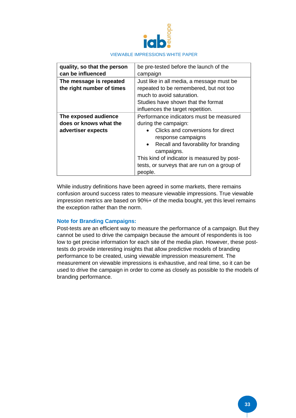

| quality, so that the person | be pre-tested before the launch of the                          |
|-----------------------------|-----------------------------------------------------------------|
| can be influenced           | campaign                                                        |
| The message is repeated     | Just like in all media, a message must be                       |
| the right number of times   | repeated to be remembered, but not too                          |
|                             | much to avoid saturation.                                       |
|                             | Studies have shown that the format                              |
|                             | influences the target repetition.                               |
| The exposed audience        | Performance indicators must be measured                         |
| does or knows what the      | during the campaign:                                            |
| advertiser expects          | Clicks and conversions for direct                               |
|                             | response campaigns                                              |
|                             | Recall and favorability for branding<br>$\bullet$<br>campaigns. |
|                             | This kind of indicator is measured by post-                     |
|                             | tests, or surveys that are run on a group of                    |
|                             | people.                                                         |

While industry definitions have been agreed in some markets, there remains confusion around success rates to measure viewable impressions. True viewable impression metrics are based on 90%+ of the media bought, yet this level remains the exception rather than the norm.

#### **Note for Branding Campaigns:**

Post-tests are an efficient way to measure the performance of a campaign. But they cannot be used to drive the campaign because the amount of respondents is too low to get precise information for each site of the media plan. However, these posttests do provide interesting insights that allow predictive models of branding performance to be created, using viewable impression measurement. The measurement on viewable impressions is exhaustive, and real time, so it can be used to drive the campaign in order to come as closely as possible to the models of branding performance.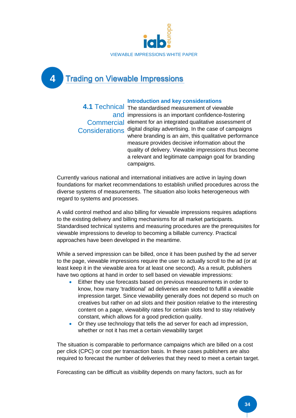

**4 Trading on Viewable Impressions** 

### **Introduction and key considerations**

4.1 Technical The standardised measurement of viewable and impressions is an important confidence-fostering Commercial element for an integrated qualitative assessment of Considerations digital display advertising. In the case of campaigns where branding is an aim, this qualitative performance measure provides decisive information about the quality of delivery. Viewable impressions thus become a relevant and legitimate campaign goal for branding campaigns.

Currently various national and international initiatives are active in laying down foundations for market recommendations to establish unified procedures across the diverse systems of measurements. The situation also looks heterogeneous with regard to systems and processes.

A valid control method and also billing for viewable impressions requires adaptions to the existing delivery and billing mechanisms for all market participants. Standardised technical systems and measuring procedures are the prerequisites for viewable impressions to develop to becoming a billable currency. Practical approaches have been developed in the meantime.

While a served impression can be billed, once it has been pushed by the ad server to the page, viewable impressions require the user to actually scroll to the ad (or at least keep it in the viewable area for at least one second). As a result, publishers have two options at hand in order to sell based on viewable impressions:

- Either they use forecasts based on previous measurements in order to know, how many 'traditional' ad deliveries are needed to fulfill a viewable impression target. Since viewability generally does not depend so much on creatives but rather on ad slots and their position relative to the interesting content on a page, viewability rates for certain slots tend to stay relatively constant, which allows for a good prediction quality.
- Or they use technology that tells the ad server for each ad impression, whether or not it has met a certain viewability target

The situation is comparable to performance campaigns which are billed on a cost per click (CPC) or cost per transaction basis. In these cases publishers are also required to forecast the number of deliveries that they need to meet a certain target.

Forecasting can be difficult as visibility depends on many factors, such as for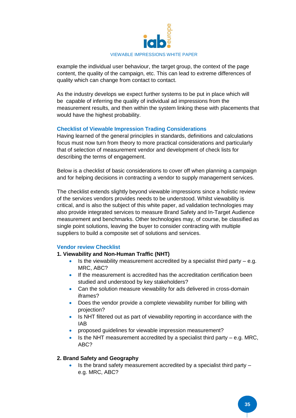

example the individual user behaviour, the target group, the context of the page content, the quality of the campaign, etc. This can lead to extreme differences of quality which can change from contact to contact.

As the industry develops we expect further systems to be put in place which will be capable of inferring the quality of individual ad impressions from the measurement results, and then within the system linking these with placements that would have the highest probability.

#### **Checklist of Viewable Impression Trading Considerations**

Having learned of the general principles in standards, definitions and calculations focus must now turn from theory to more practical considerations and particularly that of selection of measurement vendor and development of check lists for describing the terms of engagement.

Below is a checklist of basic considerations to cover off when planning a campaign and for helping decisions in contracting a vendor to supply management services.

The checklist extends slightly beyond viewable impressions since a holistic review of the services vendors provides needs to be understood. Whilst viewability is critical, and is also the subject of this white paper, ad validation technologies may also provide integrated services to measure Brand Safety and In-Target Audience measurement and benchmarks. Other technologies may, of course, be classified as single point solutions, leaving the buyer to consider contracting with multiple suppliers to build a composite set of solutions and services.

#### **Vendor review Checklist**

#### **1. Viewability and Non-Human Traffic (NHT)**

- Is the viewability measurement accredited by a specialist third party e.g. MRC, ABC?
- If the measurement is accredited has the accreditation certification been studied and understood by key stakeholders?
- Can the solution measure viewability for ads delivered in cross-domain iframes?
- Does the vendor provide a complete viewability number for billing with projection?
- Is NHT filtered out as part of viewability reporting in accordance with the IAB
- proposed guidelines for viewable impression measurement?
- Is the NHT measurement accredited by a specialist third party  $-$  e.g. MRC, ABC?

#### **2. Brand Safety and Geography**

 $\cdot$  Is the brand safety measurement accredited by a specialist third party  $$ e.g. MRC, ABC?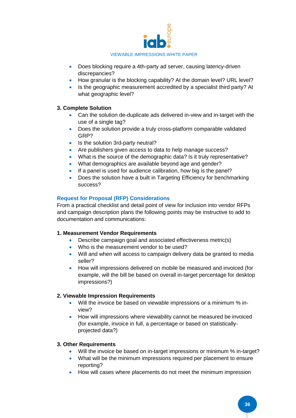

- Does blocking require a 4th-party ad server, causing latency-driven discrepancies?
- How granular is the blocking capability? At the domain level? URL level?
- Is the geographic measurement accredited by a specialist third party? At what geographic level?

#### **3. Complete Solution**

- Can the solution de-duplicate ads delivered in-view and in-target with the use of a single tag?
- Does the solution provide a truly cross-platform comparable validated GRP?
- Is the solution 3rd-party neutral?
- Are publishers given access to data to help manage success?
- What is the source of the demographic data? Is it truly representative?
- What demographics are available beyond age and gender?
- If a panel is used for audience calibration, how big is the panel?
- Does the solution have a built in Targeting Efficiency for benchmarking success?

#### **Request for Proposal (RFP) Considerations**

From a practical checklist and detail point of view for inclusion into vendor RFPs and campaign description plans the following points may be instructive to add to documentation and communications:

#### **1. Measurement Vendor Requirements**

- Describe campaign goal and associated effectiveness metric(s)
- Who is the measurement vendor to be used?
- Will and when will access to campaign delivery data be granted to media seller?
- How will impressions delivered on mobile be measured and invoiced (for example, will the bill be based on overall in-target percentage for desktop impressions?)

#### **2. Viewable Impression Requirements**

- Will the invoice be based on viewable impressions or a minimum % inview?
- How will impressions where viewability cannot be measured be invoiced (for example, invoice in full, a percentage or based on statisticallyprojected data?)

#### **3. Other Requirements**

- Will the invoice be based on in-target impressions or minimum % in-target?
- What will be the minimum impressions required per placement to ensure reporting?
- How will cases where placements do not meet the minimum impression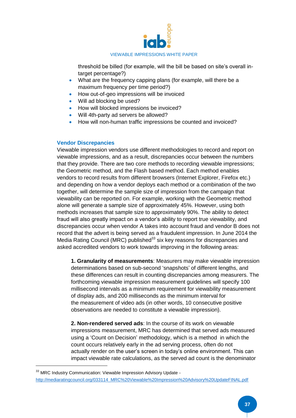

threshold be billed (for example, will the bill be based on site's overall intarget percentage?)

- What are the frequency capping plans (for example, will there be a maximum frequency per time period?)
- How out-of-geo impressions will be invoiced
- Will ad blocking be used?
- How will blocked impressions be invoiced?
- Will 4th-party ad servers be allowed?
- How will non-human traffic impressions be counted and invoiced?

#### **Vendor Discrepancies**

**.** 

Viewable impression vendors use different methodologies to record and report on viewable impressions, and as a result, discrepancies occur between the numbers that they provide. There are two core methods to recording viewable impressions; the Geometric method, and the Flash based method. Each method enables vendors to record results from different browsers (Internet Explorer, Firefox etc.) and depending on how a vendor deploys each method or a combination of the two together, will determine the sample size of impression from the campaign that viewability can be reported on. For example, working with the Geometric method alone will generate a sample size of approximately 45%. However, using both methods increases that sample size to approximately 90%. The ability to detect fraud will also greatly impact on a vendor's ability to report true viewability, and discrepancies occur when vendor A takes into account fraud and vendor B does not record that the advert is being served as a fraudulent impression. In June 2014 the Media Rating Council (MRC) published<sup>33</sup> six key reasons for discrepancies and asked accredited vendors to work towards improving in the following areas:

**1. Granularity of measurements**: Measurers may make viewable impression determinations based on sub-second 'snapshots' of different lengths, and these differences can result in counting discrepancies among measurers. The forthcoming viewable impression measurement guidelines will specify 100 millisecond intervals as a minimum requirement for viewability measurement of display ads, and 200 milliseconds as the minimum interval for the measurement of video ads (in other words, 10 consecutive positive observations are needed to constitute a viewable impression).

**2. Non-rendered served ads**: In the course of its work on viewable impressions measurement, MRC has determined that served ads measured using a 'Count on Decision' methodology, which is a method in which the count occurs relatively early in the ad serving process, often do not actually render on the user's screen in today's online environment. This can impact viewable rate calculations, as the served ad count is the denominator

<sup>&</sup>lt;sup>33</sup> MRC Industry Communication: Viewable Impression Advisory Update [http://mediaratingcouncil.org/033114\\_MRC%20Viewable%20Impression%20Advisory%20UpdateFINAL.pdf](http://mediaratingcouncil.org/033114_MRC%20Viewable%20Impression%20Advisory%20UpdateFINAL.pdf)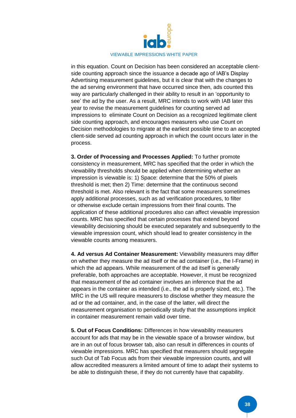

in this equation. Count on Decision has been considered an acceptable clientside counting approach since the issuance a decade ago of IAB's Display Advertising measurement guidelines, but it is clear that with the changes to the ad serving environment that have occurred since then, ads counted this way are particularly challenged in their ability to result in an 'opportunity to see' the ad by the user. As a result, MRC intends to work with IAB later this year to revise the measurement guidelines for counting served ad impressions to eliminate Count on Decision as a recognized legitimate client side counting approach, and encourages measurers who use Count on Decision methodologies to migrate at the earliest possible time to an accepted client-side served ad counting approach in which the count occurs later in the process.

**3. Order of Processing and Processes Applied:** To further promote consistency in measurement, MRC has specified that the order in which the viewability thresholds should be applied when determining whether an impression is viewable is: 1) Space: determine that the 50% of pixels threshold is met; then 2) Time: determine that the continuous second threshold is met. Also relevant is the fact that some measurers sometimes apply additional processes, such as ad verification procedures, to filter or otherwise exclude certain impressions from their final counts. The application of these additional procedures also can affect viewable impression counts. MRC has specified that certain processes that extend beyond viewability decisioning should be executed separately and subsequently to the viewable impression count, which should lead to greater consistency in the viewable counts among measurers.

**4. Ad versus Ad Container Measurement:** Viewability measurers may differ on whether they measure the ad itself or the ad container (i.e., the I-Frame) in which the ad appears. While measurement of the ad itself is generally preferable, both approaches are acceptable. However, it must be recognized that measurement of the ad container involves an inference that the ad appears in the container as intended (i.e., the ad is properly sized, etc.). The MRC in the US will require measurers to disclose whether they measure the ad or the ad container, and, in the case of the latter, will direct the measurement organisation to periodically study that the assumptions implicit in container measurement remain valid over time.

**5. Out of Focus Conditions:** Differences in how viewability measurers account for ads that may be in the viewable space of a browser window, but are in an out of focus browser tab, also can result in differences in counts of viewable impressions. MRC has specified that measurers should segregate such Out of Tab Focus ads from their viewable impression counts, and will allow accredited measurers a limited amount of time to adapt their systems to be able to distinguish these, if they do not currently have that capability.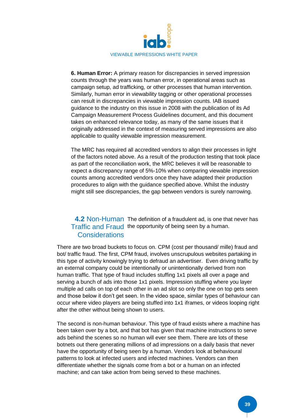

**6. Human Error:** A primary reason for discrepancies in served impression counts through the years was human error, in operational areas such as campaign setup, ad trafficking, or other processes that human intervention. Similarly, human error in viewability tagging or other operational processes can result in discrepancies in viewable impression counts. IAB issued guidance to the industry on this issue in 2008 with the publication of its Ad Campaign Measurement Process Guidelines document, and this document takes on enhanced relevance today, as many of the same issues that it originally addressed in the context of measuring served impressions are also applicable to quality viewable impression measurement.

The MRC has required all accredited vendors to align their processes in light of the factors noted above. As a result of the production testing that took place as part of the reconciliation work, the MRC believes it will be reasonable to expect a discrepancy range of 5%-10% when comparing viewable impression counts among accredited vendors once they have adapted their production procedures to align with the guidance specified above. Whilst the industry might still see discrepancies, the gap between vendors is surely narrowing.

#### 4.2 Non-Human The definition of a fraudulent ad, is one that never has Traffic and Fraud the opportunity of being seen by a human. Considerations

There are two broad buckets to focus on. CPM (cost per thousand/ mille) fraud and bot/ traffic fraud. The first, CPM fraud, involves unscrupulous websites partaking in this type of activity knowingly trying to defraud an advertiser. Even driving traffic by an external company could be intentionally or unintentionally derived from non human traffic. That type of fraud includes stuffing 1x1 pixels all over a page and serving a bunch of ads into those 1x1 pixels. Impression stuffing where you layer multiple ad calls on top of each other in an ad slot so only the one on top gets seen and those below it don't get seen. In the video space, similar types of behaviour can occur where video players are being stuffed into 1x1 iframes, or videos looping right after the other without being shown to users.

The second is non-human behaviour. This type of fraud exists where a machine has been taken over by a bot, and that bot has given that machine instructions to serve ads behind the scenes so no human will ever see them. There are lots of these botnets out there generating millions of ad impressions on a daily basis that never have the opportunity of being seen by a human. Vendors look at behavioural patterns to look at infected users and infected machines. Vendors can then differentiate whether the signals come from a bot or a human on an infected machine; and can take action from being served to these machines.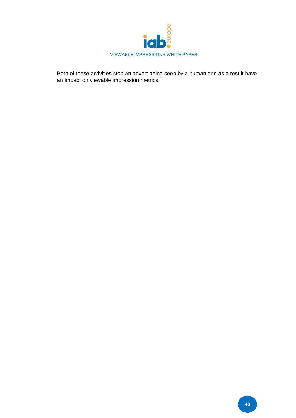

Both of these activities stop an advert being seen by a human and as a result have an impact on viewable impression metrics.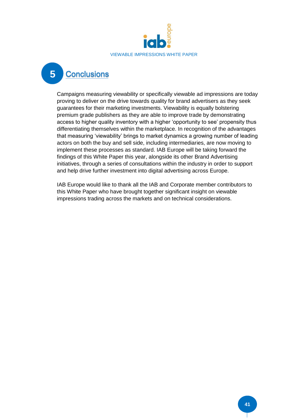

#### **5Conclusions**

Campaigns measuring viewability or specifically viewable ad impressions are today proving to deliver on the drive towards quality for brand advertisers as they seek guarantees for their marketing investments. Viewability is equally bolstering premium grade publishers as they are able to improve trade by demonstrating access to higher quality inventory with a higher 'opportunity to see' propensity thus differentiating themselves within the marketplace. In recognition of the advantages that measuring 'viewability' brings to market dynamics a growing number of leading actors on both the buy and sell side, including intermediaries, are now moving to implement these processes as standard. IAB Europe will be taking forward the findings of this White Paper this year, alongside its other Brand Advertising initiatives, through a series of consultations within the industry in order to support and help drive further investment into digital advertising across Europe.

IAB Europe would like to thank all the IAB and Corporate member contributors to this White Paper who have brought together significant insight on viewable impressions trading across the markets and on technical considerations.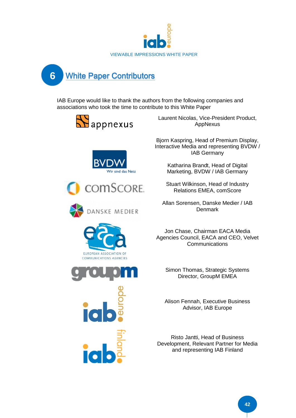



IAB Europe would like to thank the authors from the following companies and associations who took the time to contribute to this White Paper













Laurent Nicolas, Vice-President Product, AppNexus

Bjorn Kaspring, Head of Premium Display, Interactive Media and representing BVDW / IAB Germany

> Katharina Brandt, Head of Digital Marketing, BVDW / IAB Germany

Stuart Wilkinson, Head of Industry Relations EMEA, comScore

Allan Sorensen, Danske Medier / IAB **Denmark** 

Jon Chase, Chairman EACA Media Agencies Council, EACA and CEO, Velvet Communications

Simon Thomas, Strategic Systems Director, GroupM EMEA

Alison Fennah, Executive Business Advisor, IAB Europe

Risto Jantti, Head of Business Development, Relevant Partner for Media and representing IAB Finland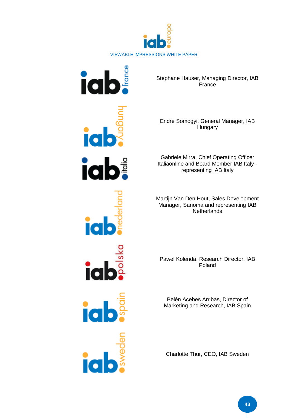



Stephane Hauser, Managing Director, IAB **France** 

Endre Somogyi, General Manager, IAB Hungary

Gabriele Mirra, Chief Operating Officer Italiaonline and Board Member IAB Italy representing IAB Italy

Martijn Van Den Hout, Sales Development Manager, Sanoma and representing IAB **Netherlands** 

Pawel Kolenda, Research Director, IAB Poland

Belén Acebes Arribas, Director of Marketing and Research, IAB Spain

Charlotte Thur, CEO, IAB Sweden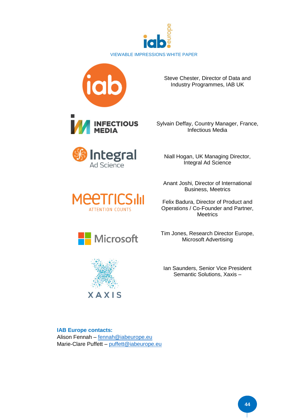





Sylvain Deffay, Country Manager, France, Infectious Media



**INFECTIOUS**<br>MEDIA







Niall Hogan, UK Managing Director, Integral Ad Science

Anant Joshi, Director of International Business, Meetrics

Felix Badura, Director of Product and Operations / Co-Founder and Partner, **Meetrics** 

Tim Jones, Research Director Europe, Microsoft Advertising

Ian Saunders, Senior Vice President Semantic Solutions, Xaxis –

**IAB Europe contacts:** Alison Fennah – [fennah@iabeurope.eu](mailto:fennah@iabeurope.eu) Marie-Clare Puffett – [puffett@iabeurope.eu](mailto:puffett@iabeurope.eu)